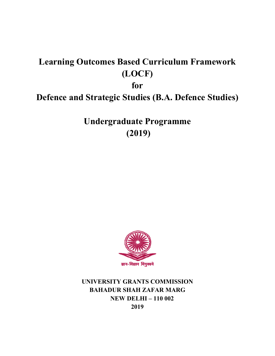# **Learning Outcomes Based Curriculum Framework (LOCF)**

**for** 

# **Defence and Strategic Studies (B.A. Defence Studies)**

**Undergraduate Programme (2019)** 



**UNIVERSITY GRANTS COMMISSION BAHADUR SHAH ZAFAR MARG NEW DELHI – 110 002 2019**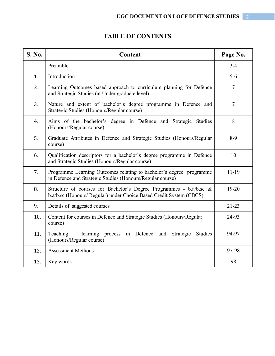# **TABLE OF CONTENTS**

| <b>S. No.</b> | Content                                                                                                                                   | Page No.       |
|---------------|-------------------------------------------------------------------------------------------------------------------------------------------|----------------|
|               | Preamble                                                                                                                                  | $3 - 4$        |
| 1.            | Introduction                                                                                                                              | $5 - 6$        |
| 2.            | Learning Outcomes based approach to curriculum planning for Defence<br>and Strategic Studies (at Under graduate level)                    | 7              |
| 3.            | Nature and extent of bachelor's degree programme in Defence and<br>Strategic Studies (Honours/Regular course)                             | $\overline{7}$ |
| 4.            | Aims of the bachelor's degree in Defence and Strategic Studies<br>(Honours/Regular course)                                                | 8              |
| 5.            | Graduate Attributes in Defence and Strategic Studies (Honours/Regular<br>course)                                                          | $8-9$          |
| 6.            | Qualification descriptors for a bachelor's degree programme in Defence<br>and Strategic Studies (Honours/Regular course)                  | 10             |
| 7.            | Programme Learning Outcomes relating to bachelor's degree programme<br>in Defence and Strategic Studies (Honours/Regular course)          | $11-19$        |
| 8.            | Structure of courses for Bachelor's Degree Programmes - b.a/b.sc &<br>b.a/b.sc (Honours/ Regular) under Choice Based Credit System (CBCS) | $19 - 20$      |
| 9.            | Details of suggested courses                                                                                                              | $21-23$        |
| 10.           | Content for courses in Defence and Strategic Studies (Honours/Regular<br>course)                                                          | 24-93          |
| 11.           | Teaching – learning process in Defence<br>and<br>Strategic<br><b>Studies</b><br>(Honours/Regular course)                                  | 94-97          |
| 12.           | <b>Assessment Methods</b>                                                                                                                 | 97-98          |
| 13.           | Key words                                                                                                                                 | 98             |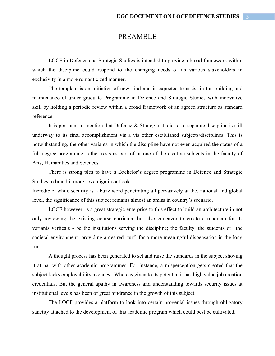# PREAMBLE

LOCF in Defence and Strategic Studies is intended to provide a broad framework within which the discipline could respond to the changing needs of its various stakeholders in exclusivity in a more romanticized manner.

The template is an initiative of new kind and is expected to assist in the building and maintenance of under graduate Programme in Defence and Strategic Studies with innovative skill by holding a periodic review within a broad framework of an agreed structure as standard reference.

 It is pertinent to mention that Defence & Strategic studies as a separate discipline is still underway to its final accomplishment vis a vis other established subjects/disciplines. This is notwithstanding, the other variants in which the discipline have not even acquired the status of a full degree programme, rather rests as part of or one of the elective subjects in the faculty of Arts, Humanities and Sciences.

 There is strong plea to have a Bachelor's degree programme in Defence and Strategic Studies to brand it more sovereign in outlook.

Incredible, while security is a buzz word penetrating all pervasively at the, national and global level, the significance of this subject remains almost an amiss in country's scenario.

LOCF however, is a great strategic enterprise to this effect to build an architecture in not only reviewing the existing course curricula, but also endeavor to create a roadmap for its variants verticals - be the institutions serving the discipline; the faculty, the students or the societal environment providing a desired turf for a more meaningful dispensation in the long run.

A thought process has been generated to set and raise the standards in the subject shoving it at par with other academic programmes. For instance, a misperception gets created that the subject lacks employability avenues. Whereas given to its potential it has high value job creation credentials. But the general apathy in awareness and understanding towards security issues at institutional levels has been of great hindrance in the growth of this subject.

The LOCF provides a platform to look into certain progenial issues through obligatory sanctity attached to the development of this academic program which could best be cultivated.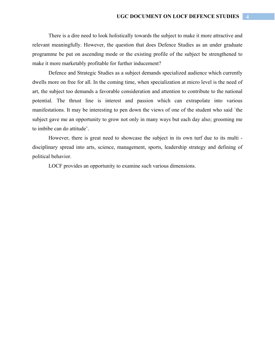There is a dire need to look holistically towards the subject to make it more attractive and relevant meaningfully. However, the question that does Defence Studies as an under graduate programme be put on ascending mode or the existing profile of the subject be strengthened to make it more marketably profitable for further inducement?

Defence and Strategic Studies as a subject demands specialized audience which currently dwells more on free for all. In the coming time, when specialization at micro level is the need of art, the subject too demands a favorable consideration and attention to contribute to the national potential. The thrust line is interest and passion which can extrapolate into various manifestations. It may be interesting to pen down the views of one of the student who said `the subject gave me an opportunity to grow not only in many ways but each day also; grooming me to imbibe can do attitude'.

However, there is great need to showcase the subject in its own turf due to its multi disciplinary spread into arts, science, management, sports, leadership strategy and defining of political behavior.

LOCF provides an opportunity to examine such various dimensions.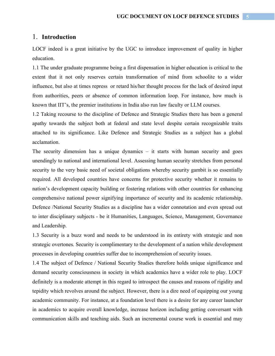### 1. **Introduction**

LOCF indeed is a great initiative by the UGC to introduce improvement of quality in higher education.

1.1 The under graduate programme being a first dispensation in higher education is critical to the extent that it not only reserves certain transformation of mind from schoolite to a wider influence, but also at times repress or retard his/her thought process for the lack of desired input from authorities, peers or absence of common information loop. For instance, how much is known that IIT's, the premier institutions in India also run law faculty or LLM courses.

1.2 Taking recourse to the discipline of Defence and Strategic Studies there has been a general apathy towards the subject both at federal and state level despite certain recognizable traits attached to its significance. Like Defence and Strategic Studies as a subject has a global acclamation.

The security dimension has a unique dynamics – it starts with human security and goes unendingly to national and international level. Assessing human security stretches from personal security to the very basic need of societal obligations whereby security gambit is so essentially required. All developed countries have concerns for protective security whether it remains to nation's development capacity building or fostering relations with other countries for enhancing comprehensive national power signifying importance of security and its academic relationship. Defence /National Security Studies as a discipline has a wider connotation and even spread out to inter disciplinary subjects - be it Humanities, Languages, Science, Management, Governance and Leadership.

1.3 Security is a buzz word and needs to be understood in its entirety with strategic and non strategic overtones. Security is complimentary to the development of a nation while development processes in developing countries suffer due to incomprehension of security issues.

1.4 The subject of Defence / National Security Studies therefore holds unique significance and demand security consciousness in society in which academics have a wider role to play. LOCF definitely is a moderate attempt in this regard to introspect the causes and reasons of rigidity and tepidity which revolves around the subject. However, there is a dire need of equipping our young academic community. For instance, at a foundation level there is a desire for any career launcher in academics to acquire overall knowledge, increase horizon including getting conversant with communication skills and teaching aids. Such an incremental course work is essential and may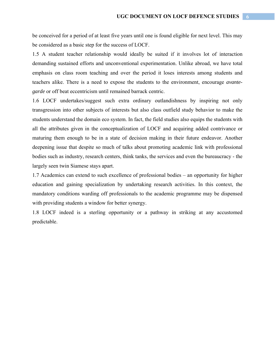be conceived for a period of at least five years until one is found eligible for next level. This may be considered as a basic step for the success of LOCF.

1.5 A student teacher relationship would ideally be suited if it involves lot of interaction demanding sustained efforts and unconventional experimentation. Unlike abroad, we have total emphasis on class room teaching and over the period it loses interests among students and teachers alike. There is a need to expose the students to the environment, encourage *avantegarde* or off beat eccentricism until remained barrack centric.

1.6 LOCF undertakes/suggest such extra ordinary outlandishness by inspiring not only transgression into other subjects of interests but also class outfield study behavior to make the students understand the domain eco system. In fact, the field studies also equips the students with all the attributes given in the conceptualization of LOCF and acquiring added contrivance or maturing them enough to be in a state of decision making in their future endeavor. Another deepening issue that despite so much of talks about promoting academic link with professional bodies such as industry, research centers, think tanks, the services and even the bureaucracy - the largely seen twin Siamese stays apart.

1.7 Academics can extend to such excellence of professional bodies – an opportunity for higher education and gaining specialization by undertaking research activities. In this context, the mandatory conditions warding off professionals to the academic programme may be dispensed with providing students a window for better synergy.

1.8 LOCF indeed is a sterling opportunity or a pathway in striking at any accustomed predictable.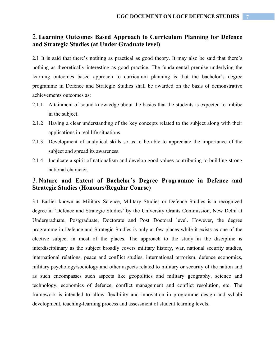# 2.**Learning Outcomes Based Approach to Curriculum Planning for Defence and Strategic Studies (at Under Graduate level)**

2.1 It is said that there's nothing as practical as good theory. It may also be said that there's nothing as theoretically interesting as good practice. The fundamental premise underlying the learning outcomes based approach to curriculum planning is that the bachelor's degree programme in Defence and Strategic Studies shall be awarded on the basis of demonstrative achievements outcomes as:

- 2.1.1 Attainment of sound knowledge about the basics that the students is expected to imbibe in the subject.
- 2.1.2 Having a clear understanding of the key concepts related to the subject along with their applications in real life situations.
- 2.1.3 Development of analytical skills so as to be able to appreciate the importance of the subject and spread its awareness.
- 2.1.4 Inculcate a spirit of nationalism and develop good values contributing to building strong national character.

# 3. **Nature and Extent of Bachelor's Degree Programme in Defence and Strategic Studies (Honours/Regular Course)**

3.1 Earlier known as Military Science, Military Studies or Defence Studies is a recognized degree in `Defence and Strategic Studies' by the University Grants Commission, New Delhi at Undergraduate, Postgraduate, Doctorate and Post Doctoral level. However, the degree programme in Defence and Strategic Studies is only at few places while it exists as one of the elective subject in most of the places. The approach to the study in the discipline is interdisciplinary as the subject broadly covers military history, war, national security studies, international relations, peace and conflict studies, international terrorism, defence economics, military psychology/sociology and other aspects related to military or security of the nation and as such encompasses such aspects like geopolitics and military geography, science and technology, economics of defence, conflict management and conflict resolution, etc. The framework is intended to allow flexibility and innovation in programme design and syllabi development, teaching-learning process and assessment of student learning levels.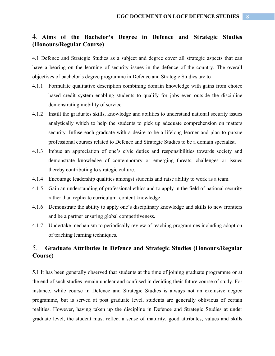# 4. **Aims of the Bachelor's Degree in Defence and Strategic Studies (Honours/Regular Course)**

4.1 Defence and Strategic Studies as a subject and degree cover all strategic aspects that can have a bearing on the learning of security issues in the defence of the country. The overall objectives of bachelor's degree programme in Defence and Strategic Studies are to –

- 4.1.1 Formulate qualitative description combining domain knowledge with gains from choice based credit system enabling students to qualify for jobs even outside the discipline demonstrating mobility of service.
- 4.1.2 Instill the graduates skills, knowledge and abilities to understand national security issues analytically which to help the students to pick up adequate comprehension on matters security. Infuse each graduate with a desire to be a lifelong learner and plan to pursue professional courses related to Defence and Strategic Studies to be a domain specialist.
- 4.1.3 Imbue an appreciation of one's civic duties and responsibilities towards society and demonstrate knowledge of contemporary or emerging threats, challenges or issues thereby contributing to strategic culture.
- 4.1.4 Encourage leadership qualities amongst students and raise ability to work as a team.
- 4.1.5 Gain an understanding of professional ethics and to apply in the field of national security rather than replicate curriculum content knowledge
- 4.1.6 Demonstrate the ability to apply one's disciplinary knowledge and skills to new frontiers and be a partner ensuring global competitiveness.
- 4.1.7 Undertake mechanism to periodically review of teaching programmes including adoption of teaching learning techniques.

# 5. **Graduate Attributes in Defence and Strategic Studies (Honours/Regular Course)**

5.1 It has been generally observed that students at the time of joining graduate programme or at the end of such studies remain unclear and confused in deciding their future course of study. For instance, while course in Defence and Strategic Studies is always not an exclusive degree programme, but is served at post graduate level, students are generally oblivious of certain realities. However, having taken up the discipline in Defence and Strategic Studies at under graduate level, the student must reflect a sense of maturity, good attributes, values and skills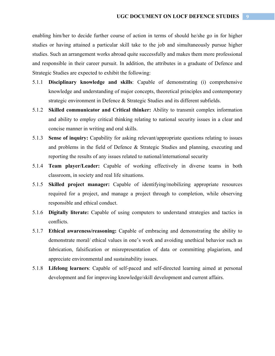enabling him/her to decide further course of action in terms of should he/she go in for higher studies or having attained a particular skill take to the job and simultaneously pursue higher studies. Such an arrangement works abroad quite successfully and makes them more professional and responsible in their career pursuit. In addition, the attributes in a graduate of Defence and Strategic Studies are expected to exhibit the following:

- 5.1.1 **Disciplinary knowledge and skills**: Capable of demonstrating (i) comprehensive knowledge and understanding of major concepts, theoretical principles and contemporary strategic environment in Defence & Strategic Studies and its different subfields.
- 5.1.2 **Skilled communicator and Critical thinker:** Ability to transmit complex information and ability to employ critical thinking relating to national security issues in a clear and concise manner in writing and oral skills.
- 5.1.3 **Sense of inquiry:** Capability for asking relevant/appropriate questions relating to issues and problems in the field of Defence & Strategic Studies and planning, executing and reporting the results of any issues related to national/international security
- 5.1.4 **Team player/Leader:** Capable of working effectively in diverse teams in both classroom, in society and real life situations.
- 5.1.5 **Skilled project manager:** Capable of identifying/mobilizing appropriate resources required for a project, and manage a project through to completion, while observing responsible and ethical conduct.
- 5.1.6 **Digitally literate:** Capable of using computers to understand strategies and tactics in conflicts.
- 5.1.7 **Ethical awareness/reasoning:** Capable of embracing and demonstrating the ability to demonstrate moral/ ethical values in one's work and avoiding unethical behavior such as fabrication, falsification or misrepresentation of data or committing plagiarism, and appreciate environmental and sustainability issues.
- 5.1.8 **Lifelong learners**: Capable of self-paced and self-directed learning aimed at personal development and for improving knowledge/skill development and current affairs.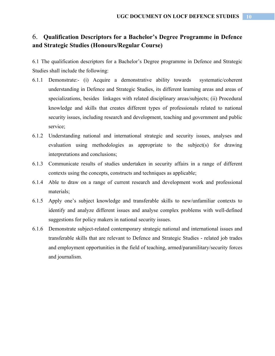# 6. **Qualification Descriptors for a Bachelor's Degree Programme in Defence and Strategic Studies (Honours/Regular Course)**

6.1 The qualification descriptors for a Bachelor's Degree programme in Defence and Strategic Studies shall include the following:

- 6.1.1 Demonstrate:- (i) Acquire a demonstrative ability towards systematic/coherent understanding in Defence and Strategic Studies, its different learning areas and areas of specializations, besides linkages with related disciplinary areas/subjects; (ii) Procedural knowledge and skills that creates different types of professionals related to national security issues, including research and development, teaching and government and public service;
- 6.1.2 Understanding national and international strategic and security issues, analyses and evaluation using methodologies as appropriate to the subject(s) for drawing interpretations and conclusions;
- 6.1.3 Communicate results of studies undertaken in security affairs in a range of different contexts using the concepts, constructs and techniques as applicable;
- 6.1.4 Able to draw on a range of current research and development work and professional materials;
- 6.1.5 Apply one's subject knowledge and transferable skills to new/unfamiliar contexts to identify and analyze different issues and analyse complex problems with well-defined suggestions for policy makers in national security issues.
- 6.1.6 Demonstrate subject-related contemporary strategic national and international issues and transferable skills that are relevant to Defence and Strategic Studies - related job trades and employment opportunities in the field of teaching, armed/paramilitary/security forces and journalism.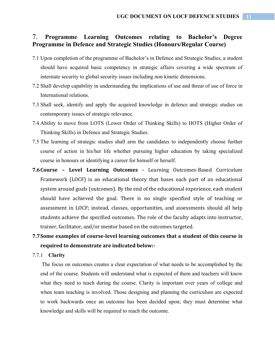### 7. **Programme Learning Outcomes relating to Bachelor's Degree Programme in Defence and Strategic Studies (Honours/Regular Course)**

- 7.1 Upon completion of the programme of Bachelor's in Defence and Strategic Studies, a student should have acquired basic competency in strategic affairs covering a wide spectrum of interstate security to global security issues including non kinetic dimensions.
- 7.2 Shall develop capability in understanding the implications of use and threat of use of force in International relations.
- 7.3 Shall seek, identify and apply the acquired knowledge in defence and strategic studies on contemporary issues of strategic relevance.
- 7.4 Ability to move from LOTS (Lower Order of Thinking Skills) to HOTS (Higher Order of Thinking Skills) in Defence and Strategic Studies.
- 7.5 The learning of strategic studies shall arm the candidates to independently choose further course of action in his/her life whether pursuing higher education by taking specialized course in honours or identifying a career for himself or herself.
- **7.6Course – Level Learning Outcomes ‐**  Learning Outcomes-Based Curriculum Framework (LOCF) is an educational theory that bases each part of an educational system around goals (outcomes). By the end of the educational experience, each student should have achieved the goal. There is no single specified style of teaching or assessment in LOCF; instead, classes, opportunities, and assessments should all help students achieve the specified outcomes. The role of the faculty adapts into instructor, trainer, facilitator, and/or mentor based on the outcomes targeted.

# **7.7Some examples of course‐level learning outcomes that a student of this course is required to demonstrate are indicated below:‐**

#### 7.7.1 **Clarity**

The focus on outcomes creates a clear expectation of what needs to be accomplished by the end of the course. Students will understand what is expected of them and teachers will know what they need to teach during the course. Clarity is important over years of college and when team teaching is involved. Those designing and planning the curriculum are expected to work backwards once an outcome has been decided upon; they must determine what knowledge and skills will be required to reach the outcome.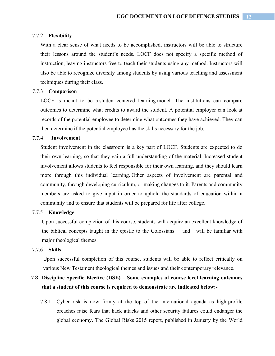#### 7.7.2 **Flexibility**

With a clear sense of what needs to be accomplished, instructors will be able to structure their lessons around the student's needs. LOCF does not specify a specific method of instruction, leaving instructors free to teach their students using any method. Instructors will also be able to recognize diversity among students by using various teaching and assessment techniques during their class.

#### 7.7.3 **Comparison**

LOCF is meant to be a student-centered learning model. The institutions can compare outcomes to determine what credits to award the student. A potential employer can look at records of the potential employee to determine what outcomes they have achieved. They can then determine if the potential employee has the skills necessary for the job.

#### **7.7.4 Involvement**

Student involvement in the classroom is a key part of LOCF. Students are expected to do their own learning, so that they gain a full understanding of the material. Increased student involvement allows students to feel responsible for their own learning, and they should learn more through this individual learning. Other aspects of involvement are parental and community, through developing curriculum, or making changes to it. Parents and community members are asked to give input in order to uphold the standards of education within a community and to ensure that students will be prepared for life after college.

#### 7.7.5 **Knowledge**

Upon successful completion of this course, students will acquire an excellent knowledge of the biblical concepts taught in the epistle to the Colossians and will be familiar with major theological themes.

#### 7.7.6 **Skills**

Upon successful completion of this course, students will be able to reflect critically on various New Testament theological themes and issues and their contemporary relevance.

# 7.8 **Discipline Specific Elective (DSE) – Some examples of course-level learning outcomes that a student of this course is required to demonstrate are indicated below:-**

7.8.1 Cyber risk is now firmly at the top of the international agenda as high-profile breaches raise fears that hack attacks and other security failures could endanger the global economy. The Global Risks 2015 report, published in January by the World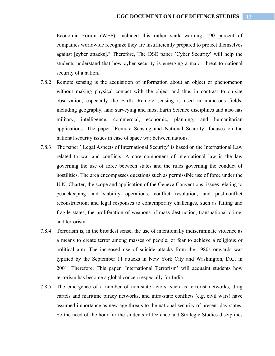Economic Forum (WEF), included this rather stark warning: "90 percent of companies worldwide recognize they are insufficiently prepared to protect themselves against [cyber attacks]." Therefore, The DSE paper `Cyber Security' will help the students understand that how cyber security is emerging a major threat to national security of a nation.

- 7.8.2 Remote sensing is the acquisition of information about an object or phenomenon without making physical contact with the object and thus in contrast to on-site observation, especially the Earth. Remote sensing is used in numerous fields, including geography, land surveying and most Earth Science disciplines and also has military, intelligence, commercial, economic, planning, and humanitarian applications. The paper `Remote Sensing and National Security' focuses on the national security issues in case of space war between nations.
- 7.8.3 The paper ` Legal Aspects of International Security' is based on the International Law related to war and conflicts. A core component of international law is the law governing the use of force between states and the rules governing the conduct of hostilities. The area encompasses questions such as permissible use of force under the U.N. Charter, the scope and application of the Geneva Conventions; issues relating to peacekeeping and stability operations, conflict resolution, and post-conflict reconstruction; and legal responses to contemporary challenges, such as failing and fragile states, the proliferation of weapons of mass destruction, transnational crime, and terrorism.
- 7.8.4 Terrorism is, in the broadest sense, the use of intentionally indiscriminate violence as a means to create terror among masses of people; or fear to achieve a religious or political aim. The increased use of suicide attacks from the 1980s onwards was typified by the September 11 attacks in New York City and Washington, D.C. in 2001. Therefore, This paper `International Terrorism' will acquaint students how terrorism has become a global concern especially for India.
- 7.8.5 The emergence of a number of non-state actors, such as terrorist networks, drug cartels and maritime piracy networks, and intra-state conflicts (e.g. civil wars) have assumed importance as new-age threats to the national security of present-day states. So the need of the hour for the students of Defence and Strategic Studies disciplines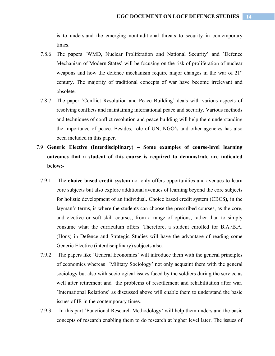is to understand the emerging nontraditional threats to security in contemporary times.

- 7.8.6 The papers `WMD, Nuclear Proliferation and National Security' and `Defence Mechanism of Modern States' will be focusing on the risk of proliferation of nuclear weapons and how the defence mechanism require major changes in the war of  $21<sup>st</sup>$ century. The majority of traditional concepts of war have become irrelevant and obsolete.
- 7.8.7 The paper `Conflict Resolution and Peace Building' deals with various aspects of resolving conflicts and maintaining international peace and security. Various methods and techniques of conflict resolution and peace building will help them understanding the importance of peace. Besides, role of UN, NGO's and other agencies has also been included in this paper.
- 7.9 **Generic Elective (Interdisciplinary) Some examples of course-level learning outcomes that a student of this course is required to demonstrate are indicated below:-** 
	- 7.9.1 The **choice based credit system** not only offers opportunities and avenues to learn core subjects but also explore additional avenues of learning beyond the core subjects for holistic development of an individual. Choice based credit system (CBCS**),** in the layman's terms, is where the students can choose the prescribed courses, as the core, and elective or soft skill courses, from a range of options, rather than to simply consume what the curriculum offers. Therefore, a student enrolled for B.A./B.A. (Hons) in Defence and Strategic Studies will have the advantage of reading some Generic Elective (interdisciplinary) subjects also.
	- 7.9.2 The papers like `General Economics' will introduce them with the general principles of economics whereas `Military Sociology' not only acquaint them with the general sociology but also with sociological issues faced by the soldiers during the service as well after retirement and the problems of resettlement and rehabilitation after war. `International Relations' as discussed above will enable them to understand the basic issues of IR in the contemporary times.
	- 7.9.3 In this part `Functional Research Methodology' will help them understand the basic concepts of research enabling them to do research at higher level later. The issues of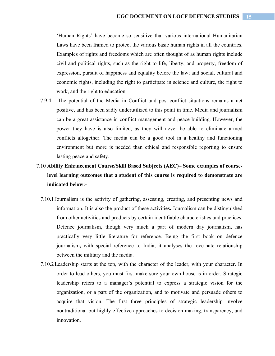'Human Rights' have become so sensitive that various international Humanitarian Laws have been framed to protect the various basic human rights in all the countries. Examples of rights and freedoms which are often thought of as human rights include civil and political rights, such as the right to life, liberty, and property, freedom of expression, pursuit of happiness and equality before the law; and social, cultural and economic rights, including the right to participate in science and culture, the right to work, and the right to education.

- 7.9.4 The potential of the Media in Conflict and post-conflict situations remains a net positive, and has been sadly underutilized to this point in time. Media and journalism can be a great assistance in conflict management and peace building. However, the power they have is also limited, as they will never be able to eliminate armed conflicts altogether. The media can be a good tool in a healthy and functioning environment but more is needed than ethical and responsible reporting to ensure lasting peace and safety.
- 7.10 **Ability Enhancement Course/Skill Based Subjects (AEC)– Some examples of courselevel learning outcomes that a student of this course is required to demonstrate are indicated below:-** 
	- 7.10.1 Journalism is the activity of gathering, assessing, creating, and presenting news and information. It is also the product of these activities**.** Journalism can be distinguished from other activities and products by certain identifiable characteristics and practices. Defence journalism**,** though very much a part of modern day journalism**,** has practically very little literature for reference. Being the first book on defence journalism**,** with special reference to India, it analyses the love-hate relationship between the military and the media.
	- 7.10.2Leadership starts at the top, with the character of the leader, with your character. In order to lead others, you must first make sure your own house is in order. Strategic leadership refers to a manager's potential to express a strategic vision for the organization, or a part of the organization, and to motivate and persuade others to acquire that vision. The first three principles of strategic leadership involve nontraditional but highly effective approaches to decision making, transparency, and innovation.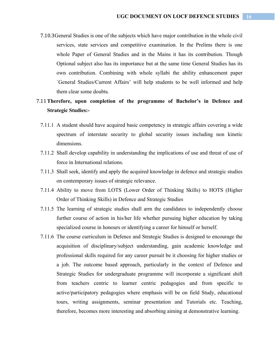7.10.3General Studies is one of the subjects which have major contribution in the whole civil services, state services and competitive examination. In the Prelims there is one whole Paper of General Studies and in the Mains it has its contribution. Though Optional subject also has its importance but at the same time General Studies has its own contribution. Combining with whole syllabi the ability enhancement paper `General Studies/Current Affairs' will help students to be well informed and help them clear some doubts.

# 7.11**Therefore, upon completion of the programme of Bachelor's in Defence and Strategic Studies:-**

- 7.11.1 A student should have acquired basic competency in strategic affairs covering a wide spectrum of interstate security to global security issues including non kinetic dimensions.
- 7.11.2 Shall develop capability in understanding the implications of use and threat of use of force in International relations.
- 7.11.3 Shall seek, identify and apply the acquired knowledge in defence and strategic studies on contemporary issues of strategic relevance.
- 7.11.4 Ability to move from LOTS (Lower Order of Thinking Skills) to HOTS (Higher Order of Thinking Skills) in Defence and Strategic Studies
- 7.11.5 The learning of strategic studies shall arm the candidates to independently choose further course of action in his/her life whether pursuing higher education by taking specialized course in honours or identifying a career for himself or herself.
- 7.11.6 The course curriculum in Defence and Strategic Studies is designed to encourage the acquisition of disciplinary/subject understanding, gain academic knowledge and professional skills required for any career pursuit be it choosing for higher studies or a job. The outcome based approach, particularly in the context of Defence and Strategic Studies for undergraduate programme will incorporate a significant shift from teachers centric to learner centric pedagogies and from specific to active/participatory pedagogies where emphasis will be on field Study, educational tours, writing assignments, seminar presentation and Tutorials etc. Teaching, therefore, becomes more interesting and absorbing aiming at demonstrative learning.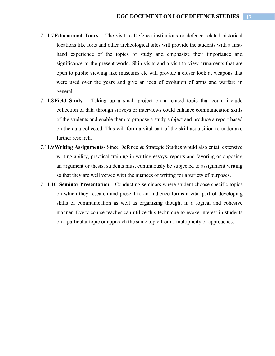- 7.11.7**Educational Tours** The visit to Defence institutions or defence related historical locations like forts and other archeological sites will provide the students with a firsthand experience of the topics of study and emphasize their importance and significance to the present world. Ship visits and a visit to view armaments that are open to public viewing like museums etc will provide a closer look at weapons that were used over the years and give an idea of evolution of arms and warfare in general.
- 7.11.8**Field Study** Taking up a small project on a related topic that could include collection of data through surveys or interviews could enhance communication skills of the students and enable them to propose a study subject and produce a report based on the data collected. This will form a vital part of the skill acquisition to undertake further research.
- 7.11.9**Writing Assignments** Since Defence & Strategic Studies would also entail extensive writing ability, practical training in writing essays, reports and favoring or opposing an argument or thesis, students must continuously be subjected to assignment writing so that they are well versed with the nuances of writing for a variety of purposes.
- 7.11.10 **Seminar Presentation** Conducting seminars where student choose specific topics on which they research and present to an audience forms a vital part of developing skills of communication as well as organizing thought in a logical and cohesive manner. Every course teacher can utilize this technique to evoke interest in students on a particular topic or approach the same topic from a multiplicity of approaches.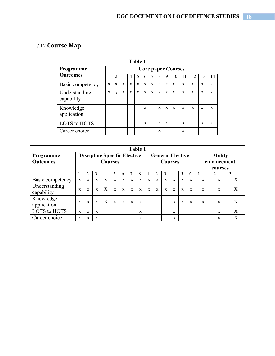# 7.12 **Course Map**

| Table 1                     |             |                           |             |              |              |              |              |              |              |    |              |    |             |              |
|-----------------------------|-------------|---------------------------|-------------|--------------|--------------|--------------|--------------|--------------|--------------|----|--------------|----|-------------|--------------|
| Programme                   |             | <b>Core paper Courses</b> |             |              |              |              |              |              |              |    |              |    |             |              |
| <b>Outcomes</b>             |             | 2                         | 3           | 4            | 5            | b            |              | 8            | 9            | 10 |              | 12 | 13          | 14           |
| Basic competency            | X           | $\mathbf x$               | $\mathbf x$ | X            | $\mathbf{x}$ | $\mathbf{x}$ | $\mathbf{x}$ | $\mathbf x$  | $\mathbf{x}$ | X  | X            | X  | X           | X            |
| Understanding<br>capability | $\mathbf x$ | $\mathbf{x}$              | $\mathbf x$ | $\mathbf{x}$ | $\mathbf x$  | $\mathbf{x}$ | $\mathbf{x}$ | $\mathbf{x}$ | $\mathbf{x}$ | X  | X            | X  | $\mathbf x$ | X            |
| Knowledge<br>application    |             |                           |             |              |              | X            |              | $\mathbf x$  | $\mathbf{x}$ | X  | X            | X  | X           | X            |
| LOTS to HOTS                |             |                           |             |              |              | X            |              | $\mathbf x$  | X            |    | $\mathbf{x}$ |    | X           | $\mathbf{x}$ |
| Career choice               |             |                           |             |              |              |              |              | X            |              |    | X            |    |             |              |

| <b>Table 1</b>              |                                     |             |              |   |                |              |              |              |                         |              |              |              |              |                |              |              |   |
|-----------------------------|-------------------------------------|-------------|--------------|---|----------------|--------------|--------------|--------------|-------------------------|--------------|--------------|--------------|--------------|----------------|--------------|--------------|---|
| Programme                   | <b>Discipline Specific Elective</b> |             |              |   |                |              |              |              | <b>Generic Elective</b> |              |              |              |              | <b>Ability</b> |              |              |   |
| <b>Outcomes</b>             | <b>Courses</b>                      |             |              |   | <b>Courses</b> |              |              |              | enhancement             |              |              |              |              |                |              |              |   |
|                             |                                     | 2           | 3            | 4 | 5              | 6            |              | 8            |                         | 2            | 3            | 4            | 5            | 6              |              | courses<br>2 | 3 |
| Basic competency            | $\mathbf x$                         | $\mathbf x$ | X            | X | X              | X            | X            | $\mathbf x$  | $\mathbf x$             | $\mathbf x$  | $\mathbf{x}$ | X            | $\mathbf{x}$ | X              | X            | X            | X |
| Understanding<br>capability | X                                   | $\mathbf x$ | $\mathbf{x}$ | X | $\mathbf{x}$   | $\mathbf{x}$ | $\mathbf{x}$ | $\mathbf{x}$ | X                       | $\mathbf{x}$ | $\mathbf x$  | $\mathbf{x}$ | $\mathbf{x}$ | $\mathbf{x}$   | $\mathbf{x}$ | X            | X |
| Knowledge<br>application    | X                                   | X           | $\mathbf{x}$ | X | $\mathbf{x}$   | X            | X            | X            |                         |              |              | X            | X            | X              | X            | X            | X |
| LOTS to HOTS                | X                                   | X           | $\mathbf{x}$ |   |                |              |              | X            |                         |              |              | $\mathbf x$  |              |                |              | X            | X |
| Career choice               | X                                   | X           | X            |   |                |              |              | X            |                         |              |              | $\mathbf x$  |              |                |              | X            | X |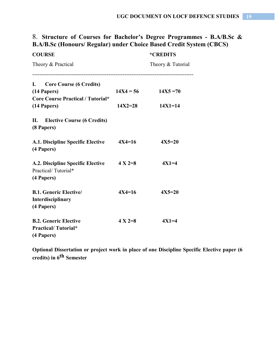# 8. **Structure of Courses for Bachelor's Degree Programmes - B.A/B.Sc & B.A/B.Sc (Honours/ Regular) under Choice Based Credit System (CBCS)**

| <b>COURSE</b>                                                            |                      | *CREDITS          |  |  |  |
|--------------------------------------------------------------------------|----------------------|-------------------|--|--|--|
| Theory & Practical                                                       |                      | Theory & Tutorial |  |  |  |
| I. Core Course (6 Credits)                                               |                      |                   |  |  |  |
| (14 Papers)<br><b>Core Course Practical / Tutorial*</b>                  | $14X4 = 56$          | $14X5 = 70$       |  |  |  |
| (14 Papers)                                                              | $14X2 = 28$          | $14X1 = 14$       |  |  |  |
| II.<br><b>Elective Course (6 Credits)</b><br>(8 Papers)                  |                      |                   |  |  |  |
| A.1. Discipline Specific Elective<br>(4 Papers)                          | $4X4=16$             | $4X5=20$          |  |  |  |
| A.2. Discipline Specific Elective<br>Practical/Tutorial*<br>(4 Papers)   | $4 \text{ X } 2 = 8$ | $4X1=4$           |  |  |  |
| <b>B.1. Generic Elective/</b><br><b>Interdisciplinary</b><br>(4 Papers)  | $4X4=16$             | $4X5=20$          |  |  |  |
| <b>B.2. Generic Elective</b><br><b>Practical/Tutorial*</b><br>(4 Papers) | $4 X 2 = 8$          | $4X1=4$           |  |  |  |

**Optional Dissertation or project work in place of one Discipline Specific Elective paper (6 credits) in 6th Semester**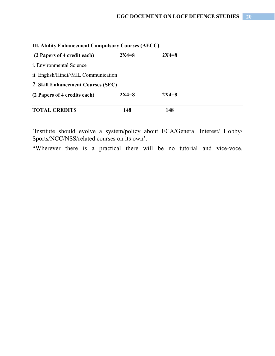| III. Ability Enhancement Compulsory Courses (AECC) |           |           |  |  |  |
|----------------------------------------------------|-----------|-----------|--|--|--|
| (2 Papers of 4 credit each)                        | $2X4 = 8$ | $2X4 = 8$ |  |  |  |
| <i>i.</i> Environmental Science                    |           |           |  |  |  |
| ii. English/Hindi//MIL Communication               |           |           |  |  |  |
| 2. Skill Enhancement Courses (SEC)                 |           |           |  |  |  |
| (2 Papers of 4 credits each)                       | $2X4 = 8$ | $2X4 = 8$ |  |  |  |
| <b>TOTAL CREDITS</b>                               | 148       | 148       |  |  |  |

`Institute should evolve a system/policy about ECA/General Interest/ Hobby/ Sports/NCC/NSS/related courses on its own'.

\*Wherever there is a practical there will be no tutorial and vice-voce.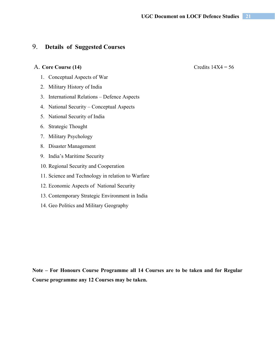# 9. **Details of Suggested Courses**

#### A. **Core Course (14)** Credits 14X4 = 56

1. Conceptual Aspects of War

2. Military History of India

3. International Relations – Defence Aspects

4. National Security – Conceptual Aspects

5. National Security of India

6. Strategic Thought

7. Military Psychology

8. Disaster Management

9. India's Maritime Security

10. Regional Security and Cooperation

11. Science and Technology in relation to Warfare

12. Economic Aspects of National Security

13. Contemporary Strategic Environment in India

14. Geo Politics and Military Geography

**Note – For Honours Course Programme all 14 Courses are to be taken and for Regular Course programme any 12 Courses may be taken.**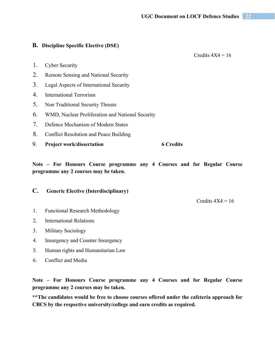#### **B. Discipline Specific Elective (DSE)**

Credits  $4X4 = 16$ 

- 1. Cyber Security
- 2. Remote Sensing and National Security
- 3. Legal Aspects of International Security
- 4. International Terrorism
- 5. Non Traditional Security Threats
- 6. WMD, Nuclear Proliferation and National Security
- 7. Defence Mechanism of Modern States
- 8. Conflict Resolution and Peace Building
- 9. **Project work/dissertation 6 Credits**

**Note – For Honours Course programme any 4 Courses and for Regular Course programme any 2 courses may be taken.** 

#### **C. Generic Elective (Interdisciplinary)**

Credits  $4X4 = 16$ 

- 1. Functional Research Methodology
- 2. International Relations
- 3. Military Sociology
- 4. Insurgency and Counter Insurgency
- 5. Human rights and Humanitarian Law
- 6. Conflict and Media

**Note – For Honours Course programme any 4 Courses and for Regular Course programme any 2 courses may be taken.** 

**\*\*The candidates would be free to choose courses offered under the cafeteria approach for CBCS by the respective university/college and earn credits as required.**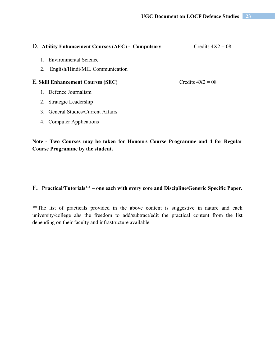| D. Ability Enhancement Courses (AEC) - Compulsory | Credits $4X2 = 08$ |
|---------------------------------------------------|--------------------|
| 1. Environmental Science                          |                    |
| English/Hindi/MIL Communication<br>2.             |                    |
| <b>E. Skill Enhancement Courses (SEC)</b>         | Credits $4X2 = 08$ |
| 1. Defence Journalism                             |                    |
| 2. Strategic Leadership                           |                    |
| <b>General Studies/Current Affairs</b><br>$3_{-}$ |                    |

4. Computer Applications

**Note - Two Courses may be taken for Honours Course Programme and 4 for Regular Course Programme by the student.** 

### **F. Practical/Tutorials\*\* – one each with every core and Discipline/Generic Specific Paper.**

\*\*The list of practicals provided in the above content is suggestive in nature and each university/college ahs the freedom to add/subtract/edit the practical content from the list depending on their faculty and infrastructure available.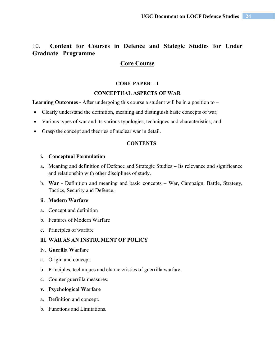# 10. **Content for Courses in Defence and Stategic Studies for Under Graduate Programme**

### **Core Course**

#### **CORE PAPER – 1**

#### **CONCEPTUAL ASPECTS OF WAR**

Learning Outcomes - After undergoing this course a student will be in a position to –

- Clearly understand the definition, meaning and distinguish basic concepts of war;
- Various types of war and its various typologies, techniques and characteristics; and
- Grasp the concept and theories of nuclear war in detail.

#### **CONTENTS**

#### **i. Conceptual Formulation**

- a. Meaning and definition of Defence and Strategic Studies Its relevance and significance and relationship with other disciplines of study.
- b. **War**  Definition and meaning and basic concepts War, Campaign, Battle, Strategy, Tactics, Security and Defence.

#### **ii. Modern Warfare**

- a. Concept and definition
- b. Features of Modern Warfare
- c. Principles of warfare

#### **iii. WAR AS AN INSTRUMENT OF POLICY**

#### **iv. Guerilla Warfare**

- a. Origin and concept.
- b. Principles, techniques and characteristics of guerrilla warfare.
- c. Counter guerrilla measures.

#### **v. Psychological Warfare**

- a. Definition and concept.
- b. Functions and Limitations.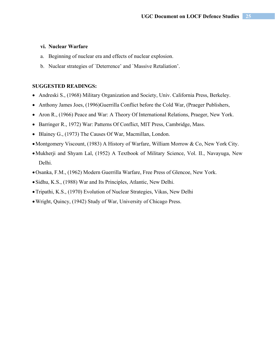#### **vi. Nuclear Warfare**

- a. Beginning of nuclear era and effects of nuclear explosion.
- b. Nuclear strategies of `Deterrence' and `Massive Retaliation'.

#### **SUGGESTED READINGS:**

- Andreski S., (1968) Military Organization and Society, Univ. California Press, Berkeley.
- Anthony James Joes, (1996)Guerrilla Conflict before the Cold War, (Praeger Publishers,
- Aron R., (1966) Peace and War: A Theory Of International Relations, Praeger, New York.
- Barringer R., 1972) War: Patterns Of Conflict, MIT Press, Cambridge, Mass.
- Blainey G., (1973) The Causes Of War, Macmillan, London.
- Montgomery Viscount, (1983) A History of Warfare, William Morrow & Co, New York City.
- Mukherji and Shyam Lal, (1952) A Textbook of Military Science, Vol. II., Navayuga, New Delhi.
- Osanka, F.M., (1962) Modern Guerrilla Warfare, Free Press of Glencoe, New York.
- Sidhu, K.S., (1988) War and Its Principles, Atlantic, New Delhi.
- Tripathi, K.S., (1970) Evolution of Nuclear Strategies, Vikas, New Delhi
- Wright, Quincy, (1942) Study of War, University of Chicago Press.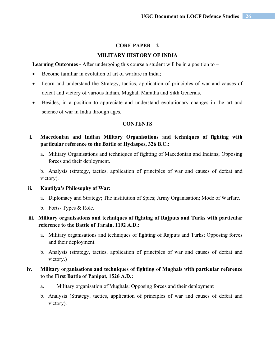#### **CORE PAPER – 2**

#### **MILITARY HISTORY OF INDIA**

Learning Outcomes - After undergoing this course a student will be in a position to –

- Become familiar in evolution of art of warfare in India;
- Learn and understand the Strategy, tactics, application of principles of war and causes of defeat and victory of various Indian, Mughal, Maratha and Sikh Generals.
- Besides, in a position to appreciate and understand evolutionary changes in the art and science of war in India through ages.

#### **CONTENTS**

- **i. Macedonian and Indian Military Organisations and techniques of fighting with particular reference to the Battle of Hydaspes, 326 B.C.:**
	- a. Military Organisations and techniques of fighting of Macedonian and Indians; Opposing forces and their deployment.

b. Analysis (strategy, tactics, application of principles of war and causes of defeat and victory).

#### **ii. Kautilya's Philosophy of War:**

- a. Diplomacy and Strategy; The institution of Spies; Army Organisation; Mode of Warfare.
- b. Forts- Types & Role.

### **iii. Military organisations and techniques of fighting of Rajputs and Turks with particular reference to the Battle of Tarain, 1192 A.D.:**

- a. Military organisations and techniques of fighting of Rajputs and Turks; Opposing forces and their deployment.
- b. Analysis (strategy, tactics, application of principles of war and causes of defeat and victory.)

### **iv. Military organisations and techniques of fighting of Mughals with particular reference to the First Battle of Panipat, 1526 A.D.:**

- a. Military organisation of Mughals; Opposing forces and their deployment
- b. Analysis (Strategy, tactics, application of principles of war and causes of defeat and victory).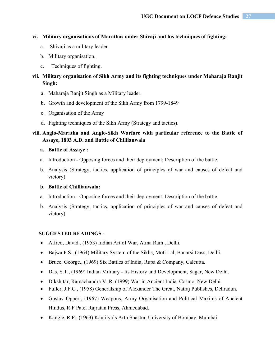#### **vi. Military organisations of Marathas under Shivaji and his techniques of fighting:**

- a. Shivaji as a military leader.
- b. Military organisation.
- c. Techniques of fighting.

### **vii. Military organisation of Sikh Army and its fighting techniques under Maharaja Ranjit Singh:**

- a. Maharaja Ranjit Singh as a Military leader.
- b. Growth and development of the Sikh Army from 1799-1849
- c. Organisation of the Army
- d. Fighting techniques of the Sikh Army (Strategy and tactics).

### **viii. Anglo-Maratha and Anglo-Sikh Warfare with particular reference to the Battle of Assaye, 1803 A.D. and Battle of Chillianwala**

#### **a. Battle of Assaye :**

- a. Introduction Opposing forces and their deployment; Description of the battle.
- b. Analysis (Strategy, tactics, application of principles of war and causes of defeat and victory).

#### **b. Battle of Chillianwala:**

- a. Introduction Opposing forces and their deployment; Description of the battle
- b. Analysis (Strategy, tactics, application of principles of war and causes of defeat and victory).

#### **SUGGESTED READINGS -**

- Alfred, David., (1953) Indian Art of War, Atma Ram , Delhi.
- Bajwa F.S., (1964) Military System of the Sikhs, Moti Lal, Banarsi Dass, Delhi.
- Bruce, George., (1969) Six Battles of India, Rupa & Company, Calcutta.
- Das, S.T., (1969) Indian Military Its History and Development, Sagar, New Delhi.
- Dikshitar, Ramachandra V. R. (1999) War in Ancient India. Cosmo, New Delhi.
- Fuller, J.F.C., (1958) Generalship of Alexander The Great, Natraj Publishes, Dehradun.
- Gustav Oppert, (1967) Weapons, Army Organisation and Political Maxims of Ancient Hindus, R.F Patel Rajratan Press, Ahmedabad.
- Kangle, R.P., (1963) Kautilya`s Arth Shastra, University of Bombay, Mumbai.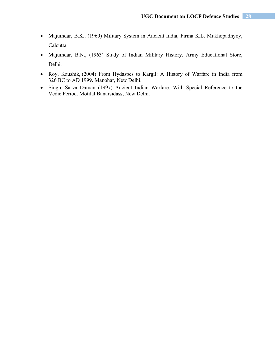- Majumdar, B.K., (1960) Military System in Ancient India, Firma K.L. Mukhopadhyoy, Calcutta.
- Majumdar, B.N., (1963) Study of Indian Military History. Army Educational Store, Delhi.
- Roy, Kaushik, (2004) From Hydaspes to Kargil: A History of Warfare in India from 326 BC to AD 1999*.* Manohar, New Delhi.
- Singh, Sarva Daman. (1997) Ancient Indian Warfare: With Special Reference to the Vedic Period*.* Motilal Banarsidass, New Delhi.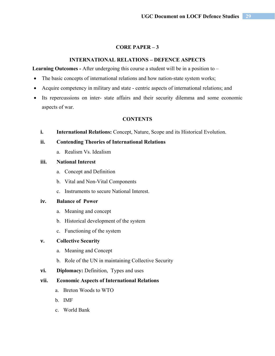#### **CORE PAPER – 3**

#### **INTERNATIONAL RELATIONS – DEFENCE ASPECTS**

**Learning Outcomes -** After undergoing this course a student will be in a position to –

- The basic concepts of international relations and how nation-state system works;
- Acquire competency in military and state centric aspects of international relations; and
- Its repercussions on inter- state affairs and their security dilemma and some economic aspects of war.

#### **CONTENTS**

**i. International Relations:** Concept, Nature, Scope and its Historical Evolution.

#### **ii. Contending Theories of International Relations**

a. Realism Vs. Idealism

#### **iii. National Interest**

- a. Concept and Definition
- b. Vital and Non-Vital Components
- c. Instruments to secure National Interest.

#### **iv. Balance of Power**

- a. Meaning and concept
- b. Historical development of the system
- c. Functioning of the system

#### **v. Collective Security**

- a. Meaning and Concept
- b. Role of the UN in maintaining Collective Security
- **vi. Diplomacy:** Definition, Types and uses

#### **vii. Economic Aspects of International Relations**

- a. Breton Woods to WTO
- b. IMF
- c. World Bank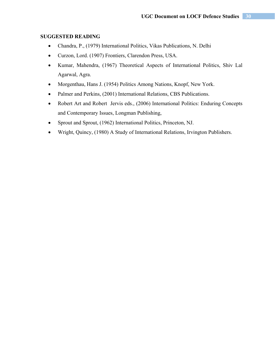#### **SUGGESTED READING**

- Chandra, P., (1979) International Politics, Vikas Publications, N. Delhi
- Curzon, Lord. (1907) Frontiers, Clarendon Press, USA.
- Kumar, Mahendra, (1967) Theoretical Aspects of International Politics, Shiv Lal Agarwal, Agra.
- Morgenthau, Hans J. (1954) Politics Among Nations, Knopf, New York.
- Palmer and Perkins, (2001) International Relations, CBS Publications.
- Robert Art and Robert Jervis eds., (2006) International Politics: Enduring Concepts and Contemporary Issues, Longman Publishing,
- Sprout and Sprout, (1962) International Politics, Princeton, NJ.
- Wright, Quincy, (1980) A Study of International Relations, Irvington Publishers.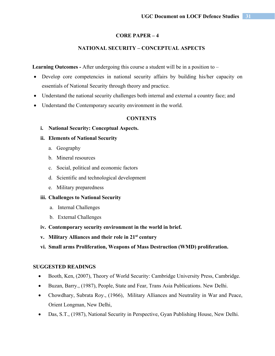#### **CORE PAPER – 4**

#### **NATIONAL SECURITY – CONCEPTUAL ASPECTS**

**Learning Outcomes -** After undergoing this course a student will be in a position to –

- Develop core competencies in national security affairs by building his/her capacity on essentials of National Security through theory and practice.
- Understand the national security challenges both internal and external a country face; and
- Understand the Contemporary security environment in the world.

#### **CONTENTS**

**i. National Security: Conceptual Aspects.** 

#### **ii. Elements of National Security**

- a. Geography
- b. Mineral resources
- c. Social, political and economic factors
- d. Scientific and technological development
- e. Military preparedness

#### **iii. Challenges to National Security**

- a. Internal Challenges
- b. External Challenges
- **iv. Contemporary security environment in the world in brief.**
- **v. Military Alliances and their role in 21st century**
- **vi. Small arms Proliferation, Weapons of Mass Destruction (WMD) proliferation.**

#### **SUGGESTED READINGS**

- Booth, Ken, (2007), Theory of World Security: Cambridge University Press, Cambridge.
- Buzan, Barry., (1987), People, State and Fear, Trans Asia Publications. New Delhi.
- Chowdhary, Subrata Roy., (1966), Military Alliances and Neutrality in War and Peace, Orient Longman, New Delhi,
- Das, S.T., (1987), National Security in Perspective, Gyan Publishing House, New Delhi.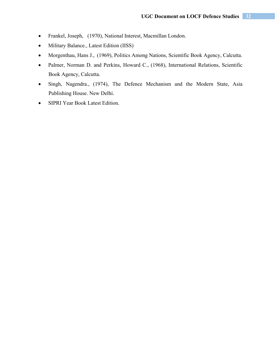- Frankel, Joseph, (1970), National Interest, Macmillan London.
- Military Balance., Latest Edition (IISS)
- Morgenthau, Hans J., (1969), Politics Among Nations, Scientific Book Agency, Calcutta.
- Palmer, Norman D. and Perkins, Howard C., (1968), International Relations, Scientific Book Agency, Calcutta.
- Singh, Nagendra., (1974), The Defence Mechanism and the Modern State, Asia Publishing House. New Delhi.
- SIPRI Year Book Latest Edition.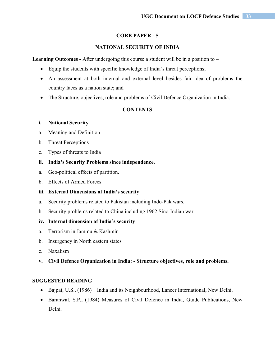#### **CORE PAPER - 5**

#### **NATIONAL SECURITY OF INDIA**

Learning Outcomes - After undergoing this course a student will be in a position to –

- Equip the students with specific knowledge of India's threat perceptions;
- An assessment at both internal and external level besides fair idea of problems the country faces as a nation state; and
- The Structure, objectives, role and problems of Civil Defence Organization in India.

#### **CONTENTS**

#### **i. National Security**

- a. Meaning and Definition
- b. Threat Perceptions
- c. Types of threats to India

#### **ii. India's Security Problems since independence.**

- a. Geo-political effects of partition.
- b. Effects of Armed Forces

#### **iii. External Dimensions of India's security**

- a. Security problems related to Pakistan including Indo-Pak wars.
- b. Security problems related to China including 1962 Sino-Indian war.

#### **iv. Internal dimension of India's security**

- a. Terrorism in Jammu & Kashmir
- b. Insurgency in North eastern states
- c. Naxalism
- **v. Civil Defence Organization in India: Structure objectives, role and problems.**

#### **SUGGESTED READING**

- Bajpai, U.S., (1986) India and its Neighbourhood, Lancer International, New Delhi.
- Baranwal, S.P., (1984) Measures of Civil Defence in India, Guide Publications, New Delhi.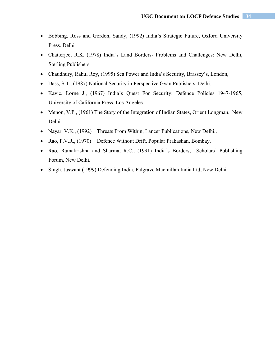- Bobbing, Ross and Gordon, Sandy, (1992) India's Strategic Future, Oxford University Press. Delhi
- Chatterjee, R.K. (1978) India's Land Borders- Problems and Challenges: New Delhi, Sterling Publishers.
- Chaudhury, Rahul Roy, (1995) Sea Power and India's Security, Brassey's, London,
- Dass, S.T., (1987) National Security in Perspective Gyan Publishers, Delhi.
- Kavic, Lorne J., (1967) India's Quest For Security: Defence Policies 1947-1965, University of California Press, Los Angeles.
- Menon, V.P., (1961) The Story of the Integration of Indian States, Orient Longman, New Delhi.
- Nayar, V.K., (1992) Threats From Within, Lancer Publications, New Delhi,.
- Rao, P.V.R., (1970) Defence Without Drift, Popular Prakashan, Bombay.
- Rao, Ramakrishna and Sharma, R.C., (1991) India's Borders, Scholars' Publishing Forum, New Delhi.
- Singh, Jaswant (1999) Defending India, Palgrave Macmillan India Ltd, New Delhi.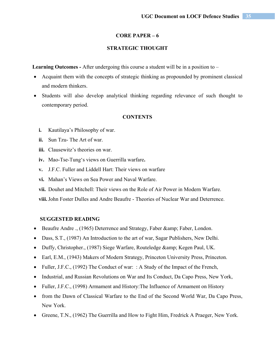#### **CORE PAPER – 6**

### **STRATEGIC THOUGHT**

**Learning Outcomes -** After undergoing this course a student will be in a position to –

- Acquaint them with the concepts of strategic thinking as propounded by prominent classical and modern thinkers.
- Students will also develop analytical thinking regarding relevance of such thought to contemporary period.

#### **CONTENTS**

- **i.** Kautilaya's Philosophy of war.
- **ii.** Sun Tzu- The Art of war.
- **iii.** Clausewitz's theories on war.
- **iv.** Mao-Tse-Tung's views on Guerrilla warfare**.**
- **v.** J.F.C. Fuller and Liddell Hart: Their views on warfare
- **vi.** Mahan's Views on Sea Power and Naval Warfare.
- **vii.** Douhet and Mitchell: Their views on the Role of Air Power in Modern Warfare.
- **viii.**John Foster Dulles and Andre Beaufre Theories of Nuclear War and Deterrence.

#### **SUGGESTED READING**

- Beaufre Andre ., (1965) Deterrence and Strategy, Faber & amp; Faber, London.
- Dass, S.T., (1987) An Introduction to the art of war, Sagar Publishers, New Delhi.
- Duffy, Christopher., (1987) Siege Warfare, Routeledge & amp; Kegen Paul, UK.
- Earl, E.M., (1943) Makers of Modern Strategy, Princeton University Press, Princeton.
- Fuller, J.F.C., (1992) The Conduct of war: : A Study of the Impact of the French,
- Industrial, and Russian Revolutions on War and Its Conduct, Da Capo Press, New York,
- Fuller, J.F.C., (1998) Armament and History: The Influence of Armament on History
- from the Dawn of Classical Warfare to the End of the Second World War, Da Capo Press, New York.
- Greene, T.N., (1962) The Guerrilla and How to Fight Him, Fredrick A Praeger, New York.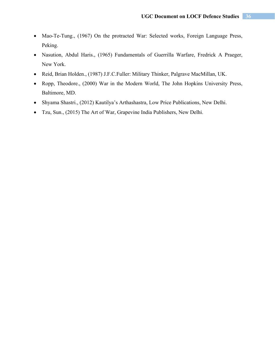- Mao-Te-Tung., (1967) On the protracted War: Selected works, Foreign Language Press, Peking.
- Nasution, Abdul Haris., (1965) Fundamentals of Guerrilla Warfare, Fredrick A Praeger, New York.
- Reid, Brian Holden., (1987) J.F.C.Fuller: Military Thinker, Palgrave MacMillan, UK.
- Ropp, Theodore., (2000) War in the Modern World, The John Hopkins University Press, Baltimore, MD.
- Shyama Shastri., (2012) Kautilya's Arthashastra, Low Price Publications, New Delhi.
- Tzu, Sun., (2015) The Art of War, Grapevine India Publishers, New Delhi.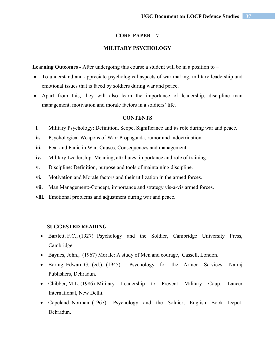# **MILITARY PSYCHOLOGY**

**Learning Outcomes -** After undergoing this course a student will be in a position to –

- To understand and appreciate psychological aspects of war making, military leadership and emotional issues that is faced by soldiers during war and peace.
- Apart from this, they will also learn the importance of leadership, discipline man management, motivation and morale factors in a soldiers' life.

#### **CONTENTS**

- **i.** Military Psychology: Definition, Scope, Significance and its role during war and peace.
- **ii.** Psychological Weapons of War: Propaganda, rumor and indoctrination.
- **iii.** Fear and Panic in War: Causes, Consequences and management.
- **iv.** Military Leadership: Meaning, attributes, importance and role of training.
- **v.** Discipline: Definition, purpose and tools of maintaining discipline.
- **vi.** Motivation and Morale factors and their utilization in the armed forces.
- **vii.** Man Management:-Concept, importance and strategy vis-à-vis armed forces.
- **viii.** Emotional problems and adjustment during war and peace.

- Bartlett, F.C., (1927) Psychology and the Soldier, Cambridge University Press, Cambridge.
- Baynes, John., (1967) Morale: A study of Men and courage, Cassell, London.
- Boring, Edward G., (ed.), (1945) Psychology for the Armed Services, Natraj Publishers, Dehradun.
- Chibber, M.L. (1986) Military Leadership to Prevent Military Coup, Lancer International, New Delhi.
- Copeland, Norman, (1967) Psychology and the Soldier, English Book Depot, Dehradun.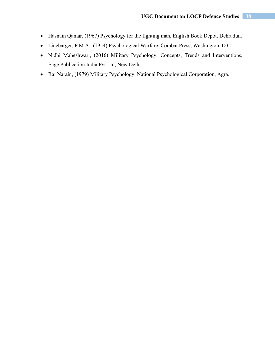- Hasnain Qamar, (1967) Psychology for the fighting man, English Book Depot, Dehradun.
- Linebarger, P.M.A., (1954) Psychological Warfare, Combat Press, Washington, D.C.
- Nidhi Maheshwari, (2016) Military Psychology: Concepts, Trends and Interventions, Sage Publication India Pvt Ltd, New Delhi.
- Raj Narain, (1979) Military Psychology, National Psychological Corporation, Agra.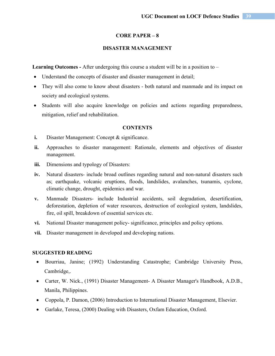# **DISASTER MANAGEMENT**

**Learning Outcomes -** After undergoing this course a student will be in a position to –

- Understand the concepts of disaster and disaster management in detail;
- They will also come to know about disasters both natural and manmade and its impact on society and ecological systems.
- Students will also acquire knowledge on policies and actions regarding preparedness, mitigation, relief and rehabilitation.

#### **CONTENTS**

- **i.** Disaster Management: Concept & significance.
- **ii.** Approaches to disaster management: Rationale, elements and objectives of disaster management.
- **iii.** Dimensions and typology of Disasters:
- **iv.** Natural disasters- include broad outlines regarding natural and non-natural disasters such as; earthquake, volcanic eruptions, floods, landslides, avalanches, tsunamis, cyclone, climatic change, drought, epidemics and war.
- **v.** Manmade Disasters- include Industrial accidents, soil degradation, desertification, deforestation, depletion of water resources, destruction of ecological system, landslides, fire, oil spill, breakdown of essential services etc.
- **vi.** National Disaster management policy- significance, principles and policy options.
- **vii.** Disaster management in developed and developing nations.

- Bourriau, Janine; (1992) Understanding Catastrophe; Cambridge University Press, Cambridge,.
- Carter, W. Nick., (1991) Disaster Management- A Disaster Manager's Handbook, A.D.B., Manila, Philippines.
- Coppola, P. Damon, (2006) Introduction to International Disaster Management, Elsevier.
- Garlake, Teresa, (2000) Dealing with Disasters, Oxfam Education, Oxford.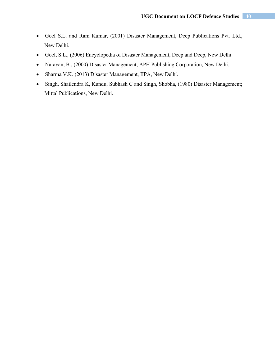- Goel S.L. and Ram Kumar, (2001) Disaster Management, Deep Publications Pvt. Ltd., New Delhi.
- Goel, S.L., (2006) Encyclopedia of Disaster Management, Deep and Deep, New Delhi.
- Narayan, B., (2000) Disaster Management, APH Publishing Corporation, New Delhi.
- Sharma V.K. (2013) Disaster Management, IIPA, New Delhi.
- Singh, Shailendra K, Kundu, Subhash C and Singh, Shobha, (1980) Disaster Management; Mittal Publications, New Delhi.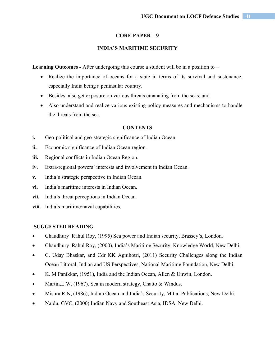# **INDIA'S MARITIME SECURITY**

**Learning Outcomes -** After undergoing this course a student will be in a position to –

- Realize the importance of oceans for a state in terms of its survival and sustenance, especially India being a peninsular country.
- Besides, also get exposure on various threats emanating from the seas; and
- Also understand and realize various existing policy measures and mechanisms to handle the threats from the sea.

#### **CONTENTS**

- **i.** Geo-political and geo-strategic significance of Indian Ocean.
- **ii.** Economic significance of Indian Ocean region.
- **iii.** Regional conflicts in Indian Ocean Region.
- **iv.** Extra-regional powers' interests and involvement in Indian Ocean.
- **v.** India's strategic perspective in Indian Ocean.
- **vi.** India's maritime interests in Indian Ocean.
- **vii.** India's threat perceptions in Indian Ocean.
- **viii.** India's maritime/naval capabilities.

- Chaudhury Rahul Roy, (1995) Sea power and Indian security, Brassey's, London.
- Chaudhury Rahul Roy, (2000), India's Maritime Security, Knowledge World, New Delhi.
- C. Uday Bhaskar, and Cdr KK Agnihotri, (2011) Security Challenges along the Indian Ocean Littoral, Indian and US Perspectives, National Maritime Foundation, New Delhi.
- K. M Panikkar, (1951), India and the Indian Ocean, Allen & Unwin, London.
- Martin, L.W. (1967), Sea in modern strategy, Chatto & Windus.
- Mishra R.N, (1986), Indian Ocean and India's Security, Mittal Publications, New Delhi.
- Naidu, GVC, (2000) Indian Navy and Southeast Asia, IDSA, New Delhi.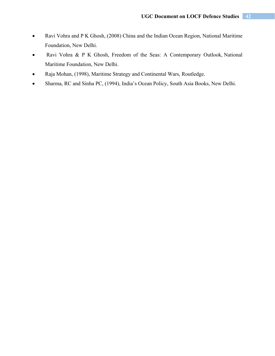- Ravi Vohra and P K Ghosh, (2008) China and the Indian Ocean Region, National Maritime Foundation, New Delhi.
- Ravi Vohra & P K Ghosh, Freedom of the Seas: A Contemporary Outlook, National Maritime Foundation, New Delhi.
- Raja Mohan, (1998), Maritime Strategy and Continental Wars, Routledge.
- Sharma, RC and Sinha PC, (1994), India's Ocean Policy, South Asia Books, New Delhi.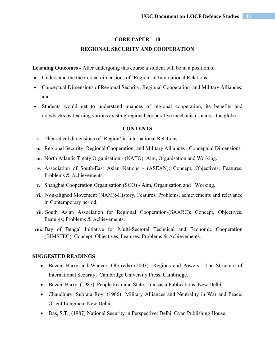# **REGIONAL SECURITY AND COOPERATION**

**Learning Outcomes -** After undergoing this course a student will be in a position to –

- Understand the theoretical dimensions of `Region' in International Relations.
- Conceptual Dimensions of Regional Security; Regional Cooperation and Military Alliances; and
- Students would get to understand nuances of regional cooperation, its benefits and drawbacks by learning various existing regional cooperative mechanisms across the globe.

#### **CONTENTS**

- **i.** Theoretical dimensions of 'Region' in International Relations.
- **ii.** Regional Security; Regional Cooperation; and Military Alliances : Conceptual Dimensions
- **iii.** North Atlantic Treaty Organisation (NATO): Aim, Organisation and Working.
- **iv.** Association of South-East Asian Nations (ASEAN): Concept, Objectives, Features, Problems & Achievements.
- **v.** Shanghai Cooperation Organisation (SCO) Aim, Organisation and Working.
- **vi.** Non-aligned Movement (NAM):-History, Features, Problems, achievements and relevance in Contemporary period.
- **vii.** South Asian Association for Regional Cooperation-(SAARC): Concept, Objectives, Features; Problems & Achievements.
- **viii.** Bay of Bengal Initiative for Multi-Sectoral Technical and Economic Cooperation (BIMSTEC): Concept, Objectives, Features; Problems & Achievements.

- Buzan, Barry and Waever, Ole (eds) (2003) Regions and Powers : The Structure of International Security, Cambridge University Press. Cambridge.
- Buzan, Barry, (1987) People Fear and State, Transasia Publications, New Delhi.
- Chaudhury, Subrata Roy, (1966) Military Alliances and Neutrality in War and Peace: Orient Longman, New Delhi.
- Das, S.T., (1987) National Security in Perspective: Delhi, Gyan Publishing House.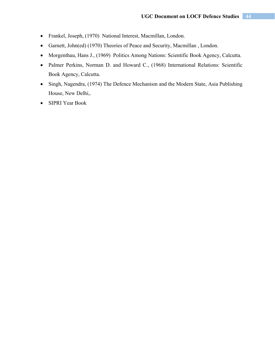- Frankel, Joseph, (1970) National Interest, Macmillan, London.
- Garnett, John(ed) (1970) Theories of Peace and Security, Macmillan , London.
- Morgenthau, Hans J., (1969) Politics Among Nations: Scientific Book Agency, Calcutta.
- Palmer Perkins, Norman D. and Howard C., (1968) International Relations: Scientific Book Agency, Calcutta.
- Singh, Nagendra, (1974) The Defence Mechanism and the Modern State, Asia Publishing House, New Delhi,.
- SIPRI Year Book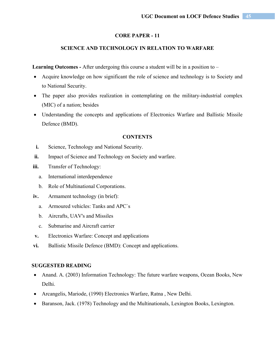# **SCIENCE AND TECHNOLOGY IN RELATION TO WARFARE**

**Learning Outcomes -** After undergoing this course a student will be in a position to –

- Acquire knowledge on how significant the role of science and technology is to Society and to National Security.
- The paper also provides realization in contemplating on the military-industrial complex (MIC) of a nation; besides
- Understanding the concepts and applications of Electronics Warfare and Ballistic Missile Defence (BMD).

#### **CONTENTS**

- **i.** Science, Technology and National Security.
- **ii.** Impact of Science and Technology on Society and warfare.
- **iii.** Transfer of Technology:
	- a. International interdependence
	- b. Role of Multinational Corporations.
- **iv.** Armament technology (in brief):
	- a. Armoured vehicles: Tanks and APC`s
	- b. Aircrafts, UAV's and Missiles
	- c. Submarine and Aircraft carrier
- **v.** Electronics Warfare: Concept and applications
- **vi.** Ballistic Missile Defence (BMD): Concept and applications.

- Anand. A. (2003) Information Technology: The future warfare weapons, Ocean Books, New Delhi.
- Arcangelis, Mariode, (1990) Electronics Warfare, Ratna , New Delhi.
- Baranson, Jack. (1978) Technology and the Multinationals, Lexington Books, Lexington.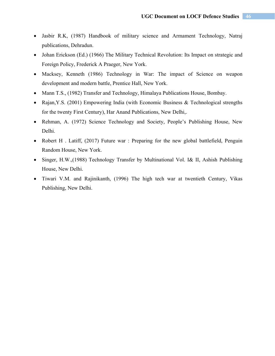- Jasbir R.K, (1987) Handbook of military science and Armament Technology, Natraj publications, Dehradun.
- Johan Erickson (Ed.) (1966) The Military Technical Revolution: Its Impact on strategic and Foreign Policy, Frederick A Praeger, New York.
- Macksey, Kenneth (1986) Technology in War: The impact of Science on weapon development and modern battle, Prentice Hall, New York.
- Mann T.S., (1982) Transfer and Technology, Himalaya Publications House, Bombay.
- Rajan, Y.S. (2001) Empowering India (with Economic Business & Technological strengths for the twenty First Century), Har Anand Publications, New Delhi,.
- Rehman, A. (1972) Science Technology and Society, People's Publishing House, New Delhi.
- Robert H. Latiff, (2017) Future war: Preparing for the new global battlefield, Penguin Random House, New York.
- Singer, H.W.,(1988) Technology Transfer by Multinational Vol. I& II, Ashish Publishing House, New Delhi.
- Tiwari V.M. and Rajinikanth, (1996) The high tech war at twentieth Century, Vikas Publishing, New Delhi.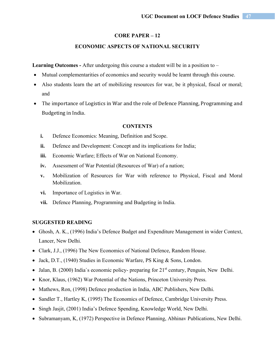## **ECONOMIC ASPECTS OF NATIONAL SECURITY**

Learning Outcomes - After undergoing this course a student will be in a position to –

- Mutual complementarities of economics and security would be learnt through this course.
- Also students learn the art of mobilizing resources for war, be it physical, fiscal or moral; and
- The importance of Logistics in War and the role of Defence Planning, Programming and Budgeting in India.

#### **CONTENTS**

- **i.** Defence Economics: Meaning, Definition and Scope.
- **ii.** Defence and Development: Concept and its implications for India;
- **iii.** Economic Warfare; Effects of War on National Economy.
- **iv.** Assessment of War Potential (Resources of War) of a nation;
- **v.** Mobilization of Resources for War with reference to Physical, Fiscal and Moral Mobilization.
- **vi.** Importance of Logistics in War.
- **vii.** Defence Planning, Programming and Budgeting in India.

- Ghosh, A. K., (1996) India's Defence Budget and Expenditure Management in wider Context, Lancer, New Delhi.
- Clark, J.J., (1996) The New Economics of National Defence, Random House.
- $\bullet$  Jack, D.T., (1940) Studies in Economic Warfare, PS King & Sons, London.
- $\bullet$  Jalan, B. (2000) India's economic policy- preparing for  $21<sup>st</sup>$  century, Penguin, New Delhi.
- Knor, Klaus, (1962) War Potential of the Nations, Princeton University Press.
- Mathews, Ron, (1998) Defence production in India, ABC Publishers, New Delhi.
- Sandler T., Hartley K, (1995) The Economics of Defence, Cambridge University Press.
- Singh Jasjit, (2001) India's Defence Spending, Knowledge World, New Delhi.
- Subramanyam, K, (1972) Perspective in Defence Planning, Abhinav Publications, New Delhi.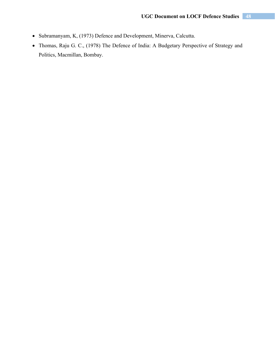- Subramanyam, K, (1973) Defence and Development, Minerva, Calcutta.
- Thomas, Raju G. C., (1978) The Defence of India: A Budgetary Perspective of Strategy and Politics, Macmillan, Bombay.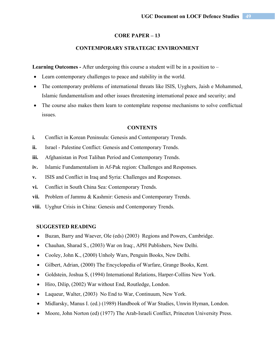## **CONTEMPORARY STRATEGIC ENVIRONMENT**

**Learning Outcomes -** After undergoing this course a student will be in a position to –

- Learn contemporary challenges to peace and stability in the world.
- The contemporary problems of international threats like ISIS, Uyghers, Jaish e Mohammed, Islamic fundamentalism and other issues threatening international peace and security; and
- The course also makes them learn to contemplate response mechanisms to solve conflictual issues.

#### **CONTENTS**

- **i.** Conflict in Korean Peninsula: Genesis and Contemporary Trends.
- **ii.** Israel Palestine Conflict: Genesis and Contemporary Trends.
- **iii.** Afghanistan in Post Taliban Period and Contemporary Trends.
- **iv.** Islamic Fundamentalism in Af-Pak region: Challenges and Responses.
- **v.** ISIS and Conflict in Iraq and Syria: Challenges and Responses.
- **vi.** Conflict in South China Sea: Contemporary Trends.
- **vii.** Problem of Jammu & Kashmir: Genesis and Contemporary Trends.
- **viii.** Uyghur Crisis in China: Genesis and Contemporary Trends.

- Buzan, Barry and Waever, Ole (eds) (2003) Regions and Powers, Cambridge.
- Chauhan, Sharad S., (2003) War on Iraq:, APH Publishers, New Delhi.
- Cooley, John K., (2000) Unholy Wars, Penguin Books, New Delhi.
- Gilbert, Adrian, (2000) The Encyclopedia of Warfare, Grange Books, Kent.
- Goldstein, Joshua S, (1994) International Relations, Harper-Collins New York.
- Hiro, Dilip, (2002) War without End, Routledge, London.
- Laqueur, Walter, (2003) No End to War, Continuum, New York.
- Midlarsky, Manus I. (ed.) (1989) Handbook of War Studies, Unwin Hyman, London.
- Moore, John Norton (ed) (1977) The Arab-Israeli Conflict, Princeton University Press.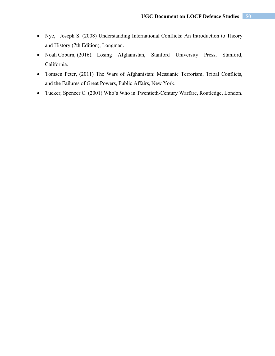- Nye, Joseph S. (2008) Understanding International Conflicts: An Introduction to Theory and History (7th Edition), Longman.
- Noah Coburn, (2016). Losing Afghanistan, Stanford University Press, Stanford, California.
- Tomsen Peter, (2011) The Wars of Afghanistan: Messianic Terrorism, Tribal Conflicts, and the Failures of Great Powers, Public Affairs, New York.
- Tucker, Spencer C. (2001) Who's Who in Twentieth-Century Warfare, Routledge, London.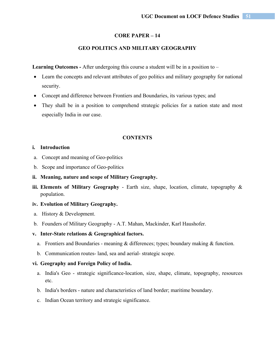# **GEO POLITICS AND MILITARY GEOGRAPHY**

**Learning Outcomes -** After undergoing this course a student will be in a position to –

- Learn the concepts and relevant attributes of geo politics and military geography for national security.
- Concept and difference between Frontiers and Boundaries, its various types; and
- They shall be in a position to comprehend strategic policies for a nation state and most especially India in our case.

#### **CONTENTS**

#### **i. Introduction**

- a. Concept and meaning of Geo-politics
- b. Scope and importance of Geo-politics
- **ii. Meaning, nature and scope of Military Geography.**
- **iii. Elements of Military Geography** Earth size, shape, location, climate, topography & population.

## **iv. Evolution of Military Geography.**

- a. History & Development.
- b. Founders of Military Geography A.T. Mahan, Mackinder, Karl Haushofer.

## **v. Inter-State relations & Geographical factors.**

- a. Frontiers and Boundaries meaning & differences; types; boundary making & function.
- b. Communication routes- land, sea and aerial- strategic scope.

#### **vi. Geography and Foreign Policy of India.**

- a. India's Geo strategic significance-location, size, shape, climate, topography, resources etc.
- b. India's borders nature and characteristics of land border; maritime boundary.
- c. Indian Ocean territory and strategic significance.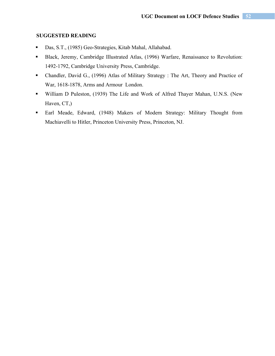- Das, S.T., (1985) Geo-Strategies, Kitab Mahal, Allahabad.
- Black, Jeremy, Cambridge Illustrated Atlas, (1996) Warfare, Renaissance to Revolution: 1492-1792, Cambridge University Press, Cambridge.
- Chandler, David G., (1996) Atlas of Military Strategy : The Art, Theory and Practice of War, 1618-1878, Arms and Armour London.
- William D Puleston, (1939) The Life and Work of Alfred Thayer Mahan, U.N.S. (New Haven, CT,)
- Earl Meade, Edward, (1948) Makers of Modern Strategy: Military Thought from Machiavelli to Hitler, Princeton University Press, Princeton, NJ.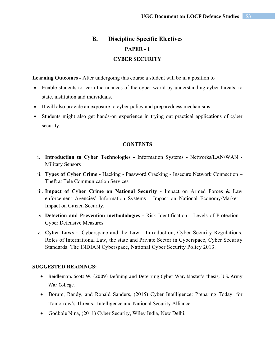# **B. Discipline Specific Electives PAPER - 1 CYBER SECURITY**

**Learning Outcomes -** After undergoing this course a student will be in a position to –

- Enable students to learn the nuances of the cyber world by understanding cyber threats, to state, institution and individuals.
- It will also provide an exposure to cyber policy and preparedness mechanisms.
- Students might also get hands-on experience in trying out practical applications of cyber security.

#### **CONTENTS**

- i. **Introduction to Cyber Technologies** Information Systems Networks/LAN/WAN Military Sensors
- ii. **Types of Cyber Crime** Hacking Password Cracking Insecure Network Connection Theft at Tele Communication Services
- iii. **Impact of Cyber Crime on National Security** Impact on Armed Forces & Law enforcement Agencies' Information Systems - Impact on National Economy/Market - Impact on Citizen Security.
- iv. **Detection and Prevention methodologies** Risk Identification Levels of Protection Cyber Defensive Measures
- v. **Cyber Laws** Cyberspace and the Law Introduction, Cyber Security Regulations, Roles of International Law, the state and Private Sector in Cyberspace, Cyber Security Standards. The INDIAN Cyberspace, National Cyber Security Policy 2013.

- Beidleman, Scott W. (2009) Defining and Deterring Cyber War, Master's thesis, U.S. Army War College.
- Borum, Randy, and Ronald Sanders, (2015) Cyber Intelligence: Preparing Today: for Tomorrow's Threats, Intelligence and National Security Alliance.
- Godbole Nina, (2011) Cyber Security, Wiley India, New Delhi.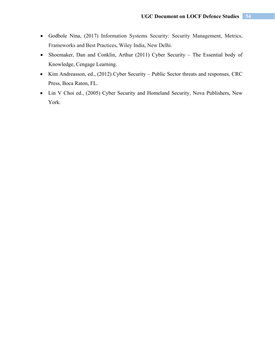- Godbole Nina, (2017) Information Systems Security: Security Management, Metrics, Frameworks and Best Practices, Wiley India, New Delhi.
- Shoemaker, Dan and Conklin, Arthur (2011) Cyber Security The Essential body of Knowledge, Cengage Learning.
- Kim Andreasson, ed., (2012) Cyber Security Public Sector threats and responses, CRC Press, Boca Raton, FL.
- Lin V Choi ed., (2005) Cyber Security and Homeland Security, Nova Publishers, New York.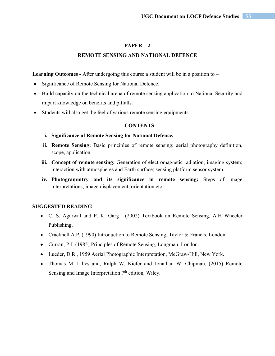# **REMOTE SENSING AND NATIONAL DEFENCE**

Learning Outcomes - After undergoing this course a student will be in a position to –

- Significance of Remote Sensing for National Defence.
- Build capacity on the technical arena of remote sensing application to National Security and impart knowledge on benefits and pitfalls.
- Students will also get the feel of various remote sensing equipments.

#### **CONTENTS**

- **i. Significance of Remote Sensing for National Defence.**
- **ii. Remote Sensing:** Basic principles of remote sensing; aerial photography definition, scope, application.
- **iii. Concept of remote sensing:** Generation of electromagnetic radiation; imaging system; interaction with atmospheres and Earth surface; sensing platform sensor system.
- **iv. Photogrammtry and its significance in remote sensing:** Steps of image interpretations; image displacement, orientation etc.

- C. S. Agarwal and P. K. Garg , (2002) Textbook on Remote Sensing, A.H Wheeler Publishing.
- Cracknell A.P. (1990) Introduction to Remote Sensing, Taylor & Francis, London.
- Curran, P.J. (1985) Principles of Remote Sensing, Longman, London.
- Lueder, D.R., 1959 Aerial Photographic Interpretation, McGraw‐Hill, New York.
- Thomas M. Lilles and, Ralph W. Kiefer and Jonathan W. Chipman, (2015) Remote Sensing and Image Interpretation  $7<sup>th</sup>$  edition, Wiley.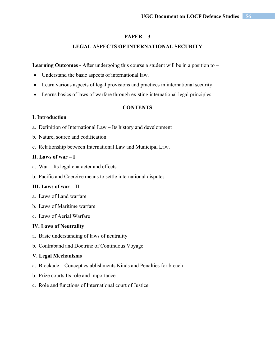## **LEGAL ASPECTS OF INTERNATIONAL SECURITY**

Learning Outcomes - After undergoing this course a student will be in a position to –

- Understand the basic aspects of international law.
- Learn various aspects of legal provisions and practices in international security.
- Learns basics of laws of warfare through existing international legal principles.

# **CONTENTS**

# **I. Introduction**

- a. Definition of International Law Its history and development
- b. Nature, source and codification
- c. Relationship between International Law and Municipal Law.

## **II. Laws of war – I**

- a. War Its legal character and effects
- b. Pacific and Coercive means to settle international disputes

## **III. Laws of war – II**

- a. Laws of Land warfare
- b. Laws of Maritime warfare
- c. Laws of Aerial Warfare

#### **IV. Laws of Neutrality**

- a. Basic understanding of laws of neutrality
- b. Contraband and Doctrine of Continuous Voyage

#### **V. Legal Mechanisms**

- a. Blockade Concept establishments Kinds and Penalties for breach
- b. Prize courts Its role and importance
- c. Role and functions of International court of Justice.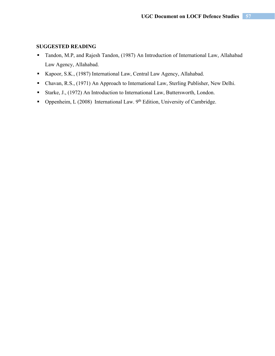- Tandon, M.P, and Rajesh Tandon, (1987) An Introduction of International Law, Allahabad Law Agency, Allahabad.
- Kapoor, S.K., (1987) International Law, Central Law Agency, Allahabad.
- Chavan, R.S., (1971) An Approach to International Law, Sterling Publisher, New Delhi.
- Starke, J., (1972) An Introduction to International Law, Buttersworth, London.
- **Oppenheim, L** (2008) International Law. 9<sup>th</sup> Edition, University of Cambridge.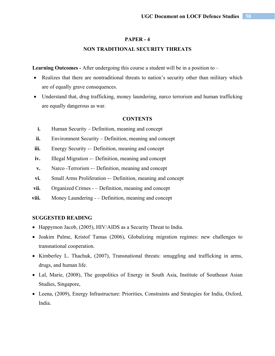#### **PAPER - 4**

### **NON TRADITIONAL SECURITY THREATS**

**Learning Outcomes -** After undergoing this course a student will be in a position to –

- Realizes that there are nontraditional threats to nation's security other than military which are of equally grave consequences.
- Understand that, drug trafficking, money laundering, narco terrorism and human trafficking are equally dangerous as war.

#### **CONTENTS**

- **i.** Human Security Definition, meaning and concept
- **ii.** Environment Security Definition, meaning and concept
- **iii.** Energy Security -– Definition, meaning and concept
- iv. Illegal Migration -– Definition, meaning and concept
- **v.** Narco -Terrorism -– Definition, meaning and concept
- **vi.** Small Arms Proliferation -– Definition, meaning and concept
- **vii.** Organized Crimes – Definition, meaning and concept
- **viii.** Money Laundering – Definition, meaning and concept

- Happymon Jacob, (2005), HIV/AIDS as a Security Threat to India.
- Joakim Palme, Kristof Tamas (2006), Globalizing migration regimes: new challenges to transnational cooperation.
- Kimberley L. Thachuk, (2007), Transnational threats: smuggling and trafficking in arms, drugs, and human life.
- Lal, Marie, (2008), The geopolitics of Energy in South Asia, Institute of Southeast Asian Studies, Singapore,
- Leena, (2009), Energy Infrastructure: Priorities, Constraints and Strategies for India, Oxford, India.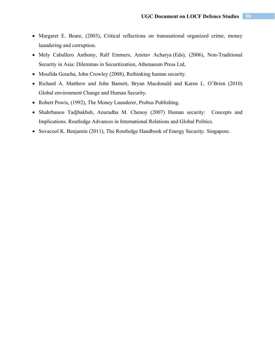- Margaret E. Beare, (2003), Critical reflections on transnational organized crime, money laundering and corruption.
- Mely Caballero Anthony, Ralf Emmers, Amitav Acharya (Eds), (2006), Non-Traditional Security in Asia: Dilemmas in Securitization, Athenaeum Press Ltd,
- Moufida Goucha, John Crowley (2008), Rethinking human security.
- Richard A. Matthew and John Barnett, Bryan Macdonald and Karen L. O'Brien (2010) Global environment Change and Human Security.
- Robert Powis, (1992), The Money Launderer, Probus Publishing.
- Shahrbanou Tadjbakhsh, Anuradha M. Chenoy (2007) Human security:Concepts and Implications. Routledge Advances in International Relations and Global Politics.
- Sovacool K. Benjamin (2011), The Routledge Handbook of Energy Securit*y.*Singapore.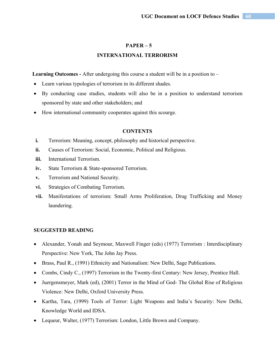# **INTERNATIONAL TERRORISM**

Learning Outcomes - After undergoing this course a student will be in a position to –

- Learn various typologies of terrorism in its different shades.
- By conducting case studies, students will also be in a position to understand terrorism sponsored by state and other stakeholders; and
- How international community cooperates against this scourge.

## **CONTENTS**

- **i.** Terrorism: Meaning, concept, philosophy and historical perspective.
- **ii.** Causes of Terrorism: Social, Economic, Political and Religious.
- **iii.** International Terrorism.
- **iv.** State Terrorism & State-sponsored Terrorism.
- **v.** Terrorism and National Security.
- **vi.** Strategies of Combating Terrorism.
- **vii.** Manifestations of terrorism: Small Arms Proliferation, Drug Trafficking and Money laundering.

- Alexander, Yonah and Seymour, Maxwell Finger (eds) (1977) Terrorism : Interdisciplinary Perspective: New York, The John Jay Press.
- Brass, Paul R., (1991) Ethnicity and Nationalism: New Delhi, Sage Publications.
- Combs, Cindy C., (1997) Terrorism in the Twenty-first Century: New Jersey, Prentice Hall.
- Juergensmeyer, Mark (ed), (2001) Terror in the Mind of God- The Global Rise of Religious Violence: New Delhi, Oxford University Press.
- Kartha, Tara, (1999) Tools of Terror: Light Weapons and India's Security: New Delhi, Knowledge World and IDSA.
- Lequeur, Walter, (1977) Terrorism: London, Little Brown and Company.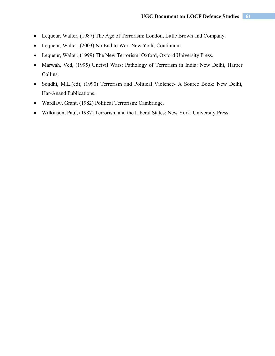- Lequeur, Walter, (1987) The Age of Terrorism: London, Little Brown and Company.
- Lequeur, Walter, (2003) No End to War: New York, Continuum.
- Lequeur, Walter, (1999) The New Terrorism: Oxford, Oxford University Press.
- Marwah, Ved, (1995) Uncivil Wars: Pathology of Terrorism in India: New Delhi, Harper Collins.
- Sondhi, M.L.(ed), (1990) Terrorism and Political Violence- A Source Book: New Delhi, Har-Anand Publications.
- Wardlaw, Grant, (1982) Political Terrorism: Cambridge.
- Wilkinson, Paul, (1987) Terrorism and the Liberal States: New York, University Press.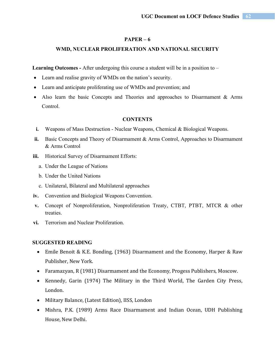## **WMD, NUCLEAR PROLIFERATION AND NATIONAL SECURITY**

**Learning Outcomes -** After undergoing this course a student will be in a position to –

- Learn and realise gravity of WMDs on the nation's security.
- Learn and anticipate proliferating use of WMDs and prevention; and
- Also learn the basic Concepts and Theories and approaches to Disarmament & Arms Control.

#### **CONTENTS**

- **i.** Weapons of Mass Destruction Nuclear Weapons, Chemical & Biological Weapons.
- **ii.** Basic Concepts and Theory of Disarmament & Arms Control, Approaches to Disarmament & Arms Control
- **iii.** Historical Survey of Disarmament Efforts:
	- a. Under the League of Nations
	- b. Under the United Nations
	- c. Unilateral, Bilateral and Multilateral approaches
- **iv.** Convention and Biological Weapons Convention.
- **v.** Concept of Nonproliferation, Nonproliferation Treaty, CTBT, PTBT, MTCR & other treaties.
- **vi.** Terrorism and Nuclear Proliferation.

- Emile Benoit & K.E. Bonding, (1963) Disarmament and the Economy, Harper & Raw Publisher, New York.
- Faramazyan, R (1981) Disarmament and the Economy, Progess Publishers, Moscow.
- Kennedy, Garin (1974) The Military in the Third World, The Garden City Press, London.
- Military Balance, (Latest Edition), IISS, London
- Mishra, P.K. (1989) Arms Race Disarmament and Indian Ocean, UDH Publishing House, New Delhi.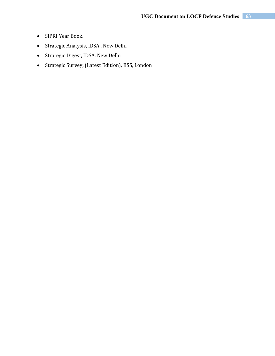- SIPRI Year Book.
- Strategic Analysis, IDSA , New Delhi
- Strategic Digest, IDSA, New Delhi
- Strategic Survey, (Latest Edition), IISS, London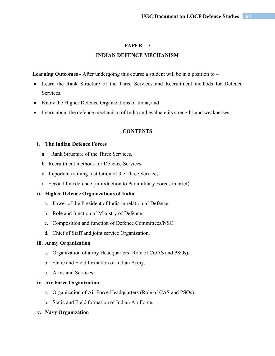# **INDIAN DEFENCE MECHANISM**

Learning Outcomes - After undergoing this course a student will be in a position to –

- Learn the Rank Structure of the Three Services and Recruitment methods for Defence Services.
- Know the Higher Defence Organizations of India; and
- Learn about the defence mechanism of India and evaluate its strengths and weaknesses.

## **CONTENTS**

# **i. The Indian Defence Forces**

- a. Rank Structure of the Three Services.
- b. Recruitment methods for Defence Services.
- c. Important training Institution of the Three Services.
- d. Second line defence [introduction to Paramilitary Forces in brief)

## **ii. Higher Defence Organizations of India**

- a. Power of the President of India in relation of Defence.
- b. Role and function of Ministry of Defence.
- c. Composition and function of Defence Committees/NSC.
- d. Chief of Staff and joint service Organization.

#### **iii. Army Organization**

- a. Organization of army Headquarters (Role of COAS and PSOs).
- b. Static and Field formation of Indian Army.
- c. Arms and Services.

### **iv. Air Force Organization**

- a. Organization of Air Force Headquarters (Role of CAS and PSOs).
- b. Static and Field formation of Indian Air Force.
- **v. Navy Organization**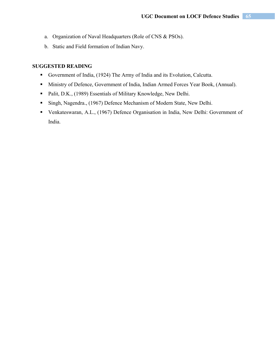- a. Organization of Naval Headquarters (Role of CNS & PSOs).
- b. Static and Field formation of Indian Navy.

- Government of India, (1924) The Army of India and its Evolution, Calcutta.
- Ministry of Defence, Government of India, Indian Armed Forces Year Book, (Annual).
- **Palit, D.K., (1989) Essentials of Military Knowledge, New Delhi.**
- Singh, Nagendra., (1967) Defence Mechanism of Modern State, New Delhi.
- Venkateswaran, A.L., (1967) Defence Organisation in India, New Delhi: Government of India.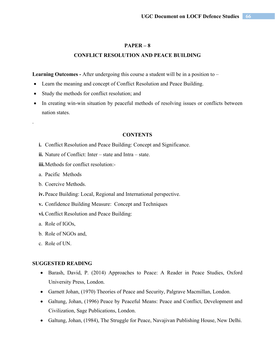## **CONFLICT RESOLUTION AND PEACE BUILDING**

Learning Outcomes - After undergoing this course a student will be in a position to –

- Learn the meaning and concept of Conflict Resolution and Peace Building.
- Study the methods for conflict resolution; and
- In creating win-win situation by peaceful methods of resolving issues or conflicts between nation states.

#### **CONTENTS**

- **i.** Conflict Resolution and Peace Building: Concept and Significance.
- **ii.** Nature of Conflict: Inter state and Intra state.
- **iii.**Methods for conflict resolution:-
- a. Pacific Methods

.

- b. Coercive Methods.
- **iv.** Peace Building: Local, Regional and International perspective.
- **v.** Confidence Building Measure: Concept and Techniques
- **vi.**Conflict Resolution and Peace Building:
- a. Role of IGOs,
- b. Role of NGOs and,
- c. Role of UN.

- Barash, David, P. (2014) Approaches to Peace: A Reader in Peace Studies, Oxford University Press, London.
- Garnett Johan, (1970) Theories of Peace and Security, Palgrave Macmillan, London.
- Galtung, Johan, (1996) Peace by Peaceful Means: Peace and Conflict, Development and Civilization, Sage Publications, London.
- Galtung, Johan, (1984), The Struggle for Peace, Navajivan Publishing House, New Delhi.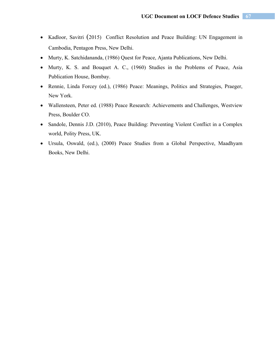- Kadloor, Savitri (2015) Conflict Resolution and Peace Building: UN Engagement in Cambodia, Pentagon Press, New Delhi.
- Murty, K. Satchidananda, (1986) Quest for Peace, Ajanta Publications, New Delhi.
- Murty, K. S. and Bouquet A. C., (1960) Studies in the Problems of Peace, Asia Publication House, Bombay.
- Rennie, Linda Forcey (ed.), (1986) Peace: Meanings, Politics and Strategies, Praeger, New York.
- Wallensteen, Peter ed. (1988) Peace Research: Achievements and Challenges, Westview Press, Boulder CO.
- Sandole, Dennis J.D. (2010), Peace Building: Preventing Violent Conflict in a Complex world, Polity Press, UK.
- Ursula, Oswald, (ed.), (2000) Peace Studies from a Global Perspective, Maadhyam Books, New Delhi.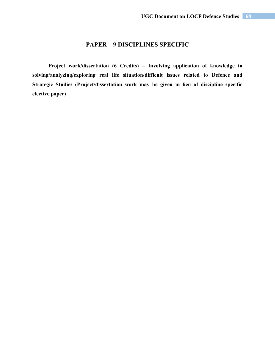# **PAPER – 9 DISCIPLINES SPECIFIC**

**Project work/dissertation (6 Credits) – Involving application of knowledge in solving/analyzing/exploring real life situation/difficult issues related to Defence and Strategic Studies (Project/dissertation work may be given in lieu of discipline specific elective paper)**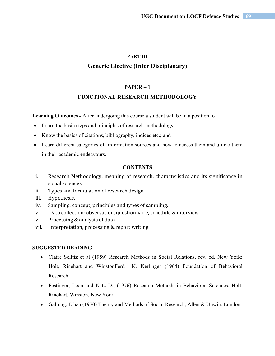# **PART III Generic Elective (Inter Disciplanary)**

# **PAPER – 1**

# **FUNCTIONAL RESEARCH METHODOLOGY**

**Learning Outcomes -** After undergoing this course a student will be in a position to –

- Learn the basic steps and principles of research methodology.
- Know the basics of citations, bibliography, indices etc.; and
- Learn different categories of information sources and how to access them and utilize them in their academic endeavours.

# **CONTENTS**

- i. Research Methodology: meaning of research, characteristics and its significance in social sciences.
- ii. Types and formulation of research design.
- iii. Hypothesis.
- iv. Sampling: concept, principles and types of sampling.
- v. Data collection: observation, questionnaire, schedule & interview.
- vi. Processing & analysis of data.
- vii. Interpretation, processing & report writing.

- Claire Selltiz et al (1959) Research Methods in Social Relations, rev. ed. New York: Holt, Rinehart and WinstonFerd N. Kerlinger (1964) Foundation of Behavioral Research.
- Festinger, Leon and Katz D., (1976) Research Methods in Behavioral Sciences, Holt, Rinehart, Winston, New York.
- Galtung, Johan (1970) Theory and Methods of Social Research, Allen & Unwin, London.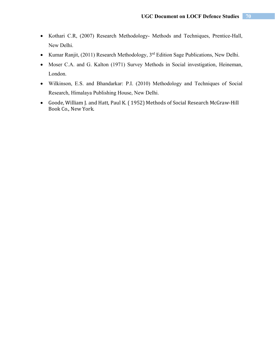- Kothari C.R, (2007) Research Methodology- Methods and Techniques, Prentice-Hall, New Delhi.
- Kumar Ranjit, (2011) Research Methodology,  $3<sup>rd</sup>$  Edition Sage Publications, New Delhi.
- Moser C.A. and G. Kalton (1971) Survey Methods in Social investigation, Heineman, London.
- Wilkinson, E.S. and Bhandarkar: P.I. (2010) Methodology and Techniques of Social Research, Himalaya Publishing House, New Delhi.
- Goode, William J. and Hatt, Paul K. ( 1952) Methods of Social Research McGraw-Hill Book Co., New York.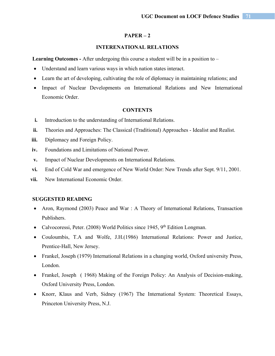## **INTERENATIONAL RELATIONS**

**Learning Outcomes -** After undergoing this course a student will be in a position to –

- Understand and learn various ways in which nation states interact.
- Learn the art of developing, cultivating the role of diplomacy in maintaining relations; and
- Impact of Nuclear Developments on International Relations and New International Economic Order.

#### **CONTENTS**

- **i.** Introduction to the understanding of International Relations.
- **ii.** Theories and Approaches: The Classical (Traditional) Approaches Idealist and Realist.
- **iii.** Diplomacy and Foreign Policy.
- **iv.** Foundations and Limitations of National Power.
- **v.** Impact of Nuclear Developments on International Relations.
- **vi.** End of Cold War and emergence of New World Order: New Trends after Sept. 9/11, 2001.
- **vii.** New International Economic Order.

- Aron, Raymond (2003) Peace and War : A Theory of International Relations, Transaction Publishers.
- Calvocoressi, Peter. (2008) World Politics since 1945,  $9<sup>th</sup>$  Edition Longman.
- Couloumbis, T.A and Wolfe, J.H.(1986) International Relations: Power and Justice, Prentice-Hall, New Jersey.
- Frankel, Joseph (1979) International Relations in a changing world, Oxford university Press, London.
- Frankel, Joseph ( 1968) Making of the Foreign Policy: An Analysis of Decision-making, Oxford University Press, London.
- Knorr, Klaus and Verb, Sidney (1967) The International System: Theoretical Essays, Princeton University Press, N.J.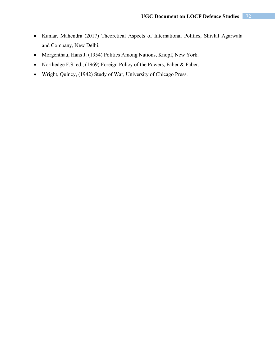- Kumar, Mahendra (2017) Theoretical Aspects of International Politics, Shivlal Agarwala and Company, New Delhi.
- Morgenthau, Hans J. (1954) Politics Among Nations, Knopf, New York.
- Northedge F.S. ed., (1969) Foreign Policy of the Powers, Faber & Faber.
- Wright, Quincy, (1942) Study of War, University of Chicago Press.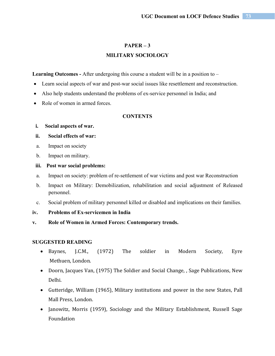## **MILITARY SOCIOLOGY**

Learning Outcomes - After undergoing this course a student will be in a position to –

- Learn social aspects of war and post-war social issues like resettlement and reconstruction.
- Also help students understand the problems of ex-service personnel in India; and
- Role of women in armed forces.

## **CONTENTS**

## **i. Social aspects of war.**

## **ii. Social effects of war:**

- a. Impact on society
- b. Impact on military.

## **iii. Post war social problems:**

- a. Impact on society: problem of re-settlement of war victims and post war Reconstruction
- b. Impact on Military: Demobilization, rehabilitation and social adjustment of Released personnel.
- c. Social problem of military personnel killed or disabled and implications on their families.
- **iv. Problems of Ex-servicemen in India**
- **v. Role of Women in Armed Forces: Contemporary trends.**

- Baynes, J.C.M., (1972) The soldier in Modern Society, Eyre Methuen, London.
- Doorn, Jacques Van, (1975) The Soldier and Social Change, , Sage Publications, New Delhi.
- Gutteridge, William (1965), Military institutions and power in the new States, Pall Mall Press, London.
- Janowitz, Morris (1959), Sociology and the Military Establishment, Russell Sage Foundation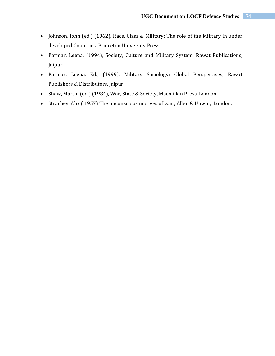- Johnson, John (ed.) (1962), Race, Class & Military: The role of the Military in under developed Countries, Princeton University Press.
- Parmar, Leena. (1994), Society, Culture and Military System, Rawat Publications, Jaipur.
- Parmar, Leena. Ed., (1999), Military Sociology: Global Perspectives, Rawat Publishers & Distributors, Jaipur.
- Shaw, Martin (ed.) (1984), War, State & Society, Macmillan Press, London.
- Strachey, Alix ( 1957) The unconscious motives of war., Allen & Unwin, London.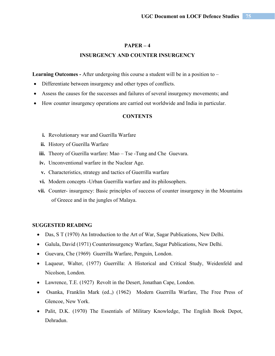## **INSURGENCY AND COUNTER INSURGENCY**

Learning Outcomes - After undergoing this course a student will be in a position to –

- Differentiate between insurgency and other types of conflicts.
- Assess the causes for the successes and failures of several insurgency movements; and
- How counter insurgency operations are carried out worldwide and India in particular.

## **CONTENTS**

- **i.** Revolutionary war and Guerilla Warfare
- **ii.** History of Guerilla Warfare
- iii. Theory of Guerilla warfare: Mao Tse -Tung and Che Guevara.
- **iv.** Unconventional warfare in the Nuclear Age.
- **v.** Characteristics, strategy and tactics of Guerrilla warfare
- **vi.** Modern concepts -Urban Guerrilla warfare and its philosophers.
- **vii.** Counter- insurgency: Basic principles of success of counter insurgency in the Mountains of Greece and in the jungles of Malaya.

- Das, S T (1970) An Introduction to the Art of War, Sagar Publications, New Delhi.
- Galula, David (1971) Counterinsurgency Warfare, Sagar Publications, New Delhi.
- Guevara, Che (1969) Guerrilla Warfare, Penguin, London.
- Laqueur, Walter, (1977) Guerrilla: A Historical and Critical Study, Weidenfeld and Nicolson, London.
- Lawrence, T.E. (1927) Revolt in the Desert, Jonathan Cape, London.
- Osanka, Franklin Mark (ed.,) (1962) Modern Guerrilla Warfare, The Free Press of Glencoe, New York.
- Palit, D.K. (1970) The Essentials of Military Knowledge, The English Book Depot, Dehradun.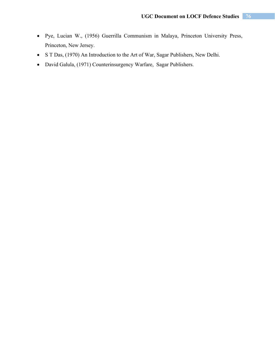- Pye, Lucian W., (1956) Guerrilla Communism in Malaya, Princeton University Press, Princeton, New Jersey.
- S T Das, (1970) An Introduction to the Art of War, Sagar Publishers, New Delhi.
- David Galula, (1971) Counterinsurgency Warfare, Sagar Publishers.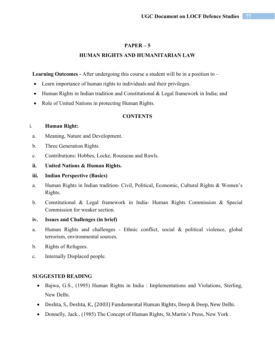## **HUMAN RIGHTS AND HUMANITARIAN LAW**

Learning Outcomes - After undergoing this course a student will be in a position to –

- Learn importance of human rights to individuals and their privileges.
- Human Rights in Indian tradition and Constitutional & Legal framework in India; and
- Role of United Nations in protecting Human Rights.

## **CONTENTS**

## i. **Human Right:**

- a. Meaning, Nature and Development.
- b. Three Generation Rights.
- c. Contributions: Hobbes, Locke, Rousseau and Rawls.

## **ii. United Nations & Human Rights.**

## **iii. Indian Perspective (Basics)**

- a. Human Rights in Indian tradition- Civil, Political, Economic, Cultural Rights & Women's Rights.
- b. Constitutional & Legal framework in India- Human Rights Commission & Special Commission for weaker section.

## **iv. Issues and Challenges (in brief)**

- a. Human Rights and challenges Ethnic conflict, social & political violence, global terrorism, environmental sources.
- b. Rights of Refugees.
- c. Internally Displaced people.

- Bajwa, G.S., (1995) Human Rights in India : Implementations and Violations, Sterling, New Delhi.
- Deshta, S., Deshta, K., (2003) Fundamental Human Rights, Deep & Deep, New Delhi.
- Donnelly, Jack., (1985) The Concept of Human Rights, St.Martin's Press, New York.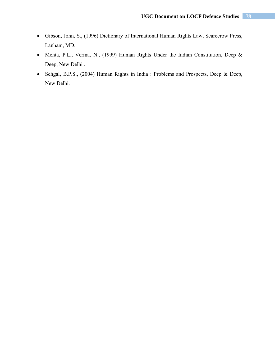- Gibson, John, S., (1996) Dictionary of International Human Rights Law, Scarecrow Press, Lanham, MD.
- Mehta, P.L., Verma, N., (1999) Human Rights Under the Indian Constitution, Deep & Deep, New Delhi .
- Sehgal, B.P.S., (2004) Human Rights in India : Problems and Prospects, Deep & Deep, New Delhi.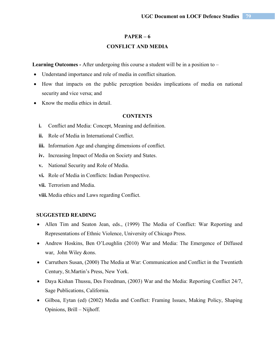#### **CONFLICT AND MEDIA**

**Learning Outcomes -** After undergoing this course a student will be in a position to –

- Understand importance and role of media in conflict situation.
- How that impacts on the public perception besides implications of media on national security and vice versa; and
- Know the media ethics in detail.

#### **CONTENTS**

- **i.** Conflict and Media: Concept, Meaning and definition.
- **ii.** Role of Media in International Conflict.
- **iii.** Information Age and changing dimensions of conflict.
- **iv.** Increasing Impact of Media on Society and States.
- **v.** National Security and Role of Media.
- **vi.** Role of Media in Conflicts: Indian Perspective.
- **vii.** Terrorism and Media.
- **viii.** Media ethics and Laws regarding Conflict.

- Allen Tim and Seaton Jean, eds., (1999) The Media of Conflict: War Reporting and Representations of Ethnic Violence, University of Chicago Press.
- Andrew Hoskins, Ben O'Loughlin (2010) War and Media: The Emergence of Diffused war, John Wiley &ons.
- Carruthers Susan, (2000) The Media at War: Communication and Conflict in the Twentieth Century, St.Martin's Press, New York.
- Daya Kishan Thussu, Des Freedman, (2003) War and the Media: Reporting Conflict 24/7, Sage Publications, California.
- Gilboa, Eytan (ed) (2002) Media and Conflict: Framing Issues, Making Policy, Shaping Opinions, Brill – Nijhoff.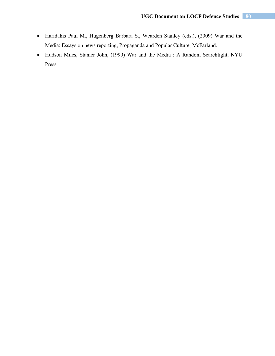- Haridakis Paul M., Hugenberg Barbara S., Wearden Stanley (eds.), (2009) War and the Media: Essays on news reporting, Propaganda and Popular Culture, McFarland.
- Hudson Miles, Stanier John, (1999) War and the Media : A Random Searchlight, NYU Press.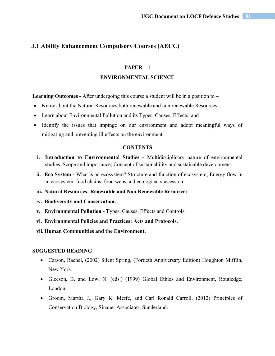## **3.1 Ability Enhancement Compulsory Courses (AECC)**

## **PAPER – 1**

#### **ENVIRONMENTAL SCIENCE**

**Learning Outcomes -** After undergoing this course a student will be in a position to –

- Know about the Natural Resources both renewable and non renewable Resources.
- Learn about Environmental Pollution and its Types, Causes, Effects; and
- Identify the issues that impinge on our environment and adopt meaningful ways of mitigating and preventing ill effects on the environment.

#### **CONTENTS**

- **i. Introduction to Environmental Studies** Multidisciplinary nature of environmental studies. Scope and importance; Concept of sustainability and sustainable development.
- **ii. Eco System** What is an ecosystem? Structure and function of ecosystem; Energy flow in an ecosystem: food chains, food webs and ecological succession.
- **iii. Natural Resources: Renewable and Non Renewable Resources**
- **iv. Biodiversity and Conservation.**
- **v. Environmental Pollution T**ypes, Causes, Effects and Controls.
- **vi. Environmental Policies and Practices: Acts and Protocols.**
- **vii. Human Communities and the Environment.**

- Carson, Rachel, (2002) Silent Spring, (Fortieth Anniversary Edition) Houghton Mifflin, New York.
- Gleeson, B. and Low, N. (eds.) (1999) Global Ethics and Environment, Routledge, London.
- Groom, Martha J., Gary K. Meffe, and Carl Ronald Carroll, (2012) Principles of Conservation Biology, Sinauer Associates, Sunderland.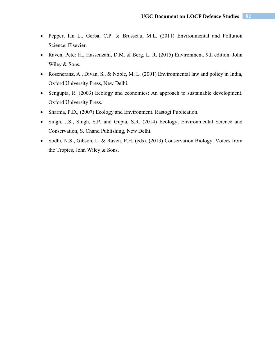- Pepper, Ian L., Gerba, C.P. & Brusseau, M.L. (2011) Environmental and Pollution Science, Elsevier.
- Raven, Peter H., Hassenzahl, D.M. & Berg, L. R. (2015) Environment. 9th edition. John Wiley & Sons.
- Rosencranz, A., Divan, S., & Noble, M. L. (2001) Environmental law and policy in India, Oxford University Press, New Delhi.
- Sengupta, R. (2003) Ecology and economics: An approach to sustainable development. Oxford University Press.
- Sharma, P.D., (2007) Ecology and Environment. Rastogi Publication.
- Singh, J.S., Singh, S.P. and Gupta, S.R. (2014) Ecology, Environmental Science and Conservation, S. Chand Publishing, New Delhi.
- Sodhi, N.S., Gibson, L. & Raven, P.H. (eds). (2013) Conservation Biology: Voices from the Tropics, John Wiley & Sons.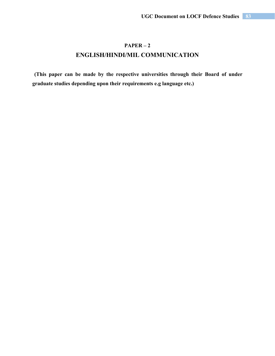# **PAPER – 2 ENGLISH/HINDI/MIL COMMUNICATION**

**(This paper can be made by the respective universities through their Board of under graduate studies depending upon their requirements e.g language etc.)**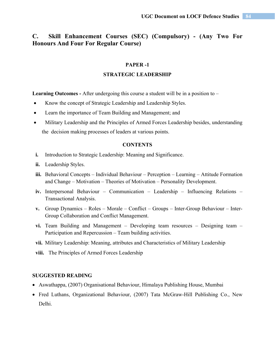## **C. Skill Enhancement Courses (SEC) (Compulsory) - (Any Two For Honours And Four For Regular Course)**

#### **PAPER -1**

#### **STRATEGIC LEADERSHIP**

**Learning Outcomes -** After undergoing this course a student will be in a position to –

- Know the concept of Strategic Leadership and Leadership Styles.
- Learn the importance of Team Building and Management; and
- Military Leadership and the Principles of Armed Forces Leadership besides, understanding the decision making processes of leaders at various points.

#### **CONTENTS**

- **i.** Introduction to Strategic Leadership: Meaning and Significance.
- **ii.** Leadership Styles.
- **iii.** Behavioral Concepts Individual Behaviour Perception Learning Attitude Formation and Change – Motivation – Theories of Motivation – Personality Development.
- **iv.** Interpersonal Behaviour Communication Leadership Influencing Relations Transactional Analysis.
- **v.** Group Dynamics Roles Morale Conflict Groups Inter-Group Behaviour Inter-Group Collaboration and Conflict Management.
- **vi.** Team Building and Management Developing team resources Designing team Participation and Repercussion – Team building activities.
- **vii.** Military Leadership: Meaning, attributes and Characteristics of Military Leadership
- **viii.**The Principles of Armed Forces Leadership

- Aswathappa, (2007) Organisational Behaviour, Himalaya Publishing House, Mumbai
- Fred Luthans, Organizational Behaviour, (2007) Tata McGraw-Hill Publishing Co., New Delhi.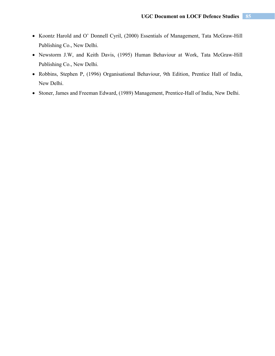- Koontz Harold and O' Donnell Cyril, (2000) Essentials of Management, Tata McGraw-Hill Publishing Co., New Delhi.
- Newstorm J.W, and Keith Davis, (1995) Human Behaviour at Work, Tata McGraw-Hill Publishing Co., New Delhi.
- Robbins, Stephen P, (1996) Organisational Behaviour, 9th Edition, Prentice Hall of India, New Delhi.
- Stoner, James and Freeman Edward, (1989) Management, Prentice-Hall of India, New Delhi.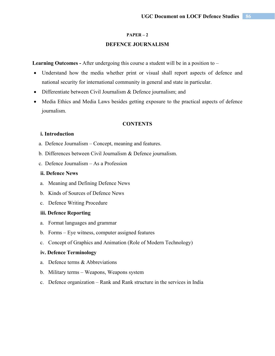## **DEFENCE JOURNALISM**

**Learning Outcomes -** After undergoing this course a student will be in a position to –

- Understand how the media whether print or visual shall report aspects of defence and national security for international community in general and state in particular.
- Differentiate between Civil Journalism & Defence journalism; and
- Media Ethics and Media Laws besides getting exposure to the practical aspects of defence journalism.

#### **CONTENTS**

### **i. Introduction**

- a. Defence Journalism Concept, meaning and features.
- b. Differences between Civil Journalism & Defence journalism.
- c. Defence Journalism As a Profession

### **ii. Defence News**

- a. Meaning and Defining Defence News
- b. Kinds of Sources of Defence News
- c. Defence Writing Procedure

#### **iii. Defence Reporting**

- a. Format languages and grammar
- b. Forms Eye witness, computer assigned features
- c. Concept of Graphics and Animation (Role of Modern Technology)

## **iv. Defence Terminology**

- a. Defence terms & Abbreviations
- b. Military terms Weapons, Weapons system
- c. Defence organization Rank and Rank structure in the services in India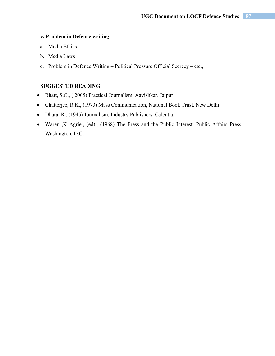#### **v. Problem in Defence writing**

- a. Media Ethics
- b. Media Laws
- c. Problem in Defence Writing Political Pressure Official Secrecy etc.,

- Bhatt, S.C., ( 2005) Practical Journalism, Aavishkar. Jaipur
- Chatterjee, R.K., (1973) Mass Communication, National Book Trust. New Delhi
- Dhara, R., (1945) Journalism, Industry Publishers. Calcutta.
- Waren ,K Agrie., (ed)., (1968) The Press and the Public Interest, Public Affairs Press. Washington, D.C.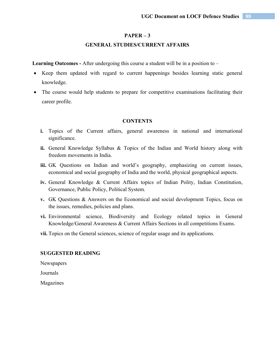## **GENERAL STUDIES/CURRENT AFFAIRS**

**Learning Outcomes -** After undergoing this course a student will be in a position to –

- Keep them updated with regard to current happenings besides learning static general knowledge.
- The course would help students to prepare for competitive examinations facilitating their career profile.

#### **CONTENTS**

- **i.** Topics of the Current affairs, general awareness in national and international significance.
- **ii.** General Knowledge Syllabus & Topics of the Indian and World history along with freedom movements in India.
- **iii.** GK Questions on Indian and world's geography, emphasizing on current issues, economical and social geography of India and the world, physical geographical aspects.
- **iv.** General Knowledge & Current Affairs topics of Indian Polity, Indian Constitution, Governance, Public Policy, Political System.
- **v.** GK Questions & Answers on the Economical and social development Topics, focus on the issues, remedies, policies and plans.
- **vi.** Environmental science, Biodiversity and Ecology related topics in General Knowledge/General Awareness & Current Affairs Sections in all competitions Exams.
- **vii.** Topics on the General sciences, science of regular usage and its applications.

#### **SUGGESTED READING**

Newspapers

Journals

Magazines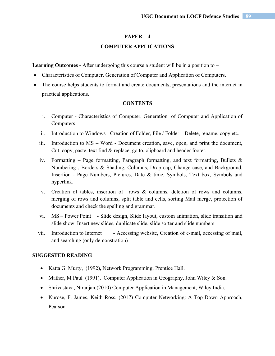#### **COMPUTER APPLICATIONS**

**Learning Outcomes -** After undergoing this course a student will be in a position to –

- Characteristics of Computer, Generation of Computer and Application of Computers.
- The course helps students to format and create documents, presentations and the internet in practical applications.

#### **CONTENTS**

- i. Computer Characteristics of Computer, Generation of Computer and Application of Computers
- ii. Introduction to Windows Creation of Folder, File / Folder Delete, rename, copy etc.
- iii. Introduction to MS Word Document creation, save, open, and print the document, Cut, copy, paste, text find & replace, go to, clipboard and header footer.
- iv. Formatting Page formatting, Paragraph formatting, and text formatting, Bullets  $\&$ Numbering , Borders & Shading, Columns, Drop cap, Change case, and Background, Insertion - Page Numbers, Pictures, Date & time, Symbols, Text box, Symbols and hyperlink.
- v. Creation of tables, insertion of rows & columns, deletion of rows and columns, merging of rows and columns, split table and cells, sorting Mail merge, protection of documents and check the spelling and grammar.
- vi. MS Power Point Slide design, Slide layout, custom animation, slide transition and slide show. Insert new slides, duplicate slide, slide sorter and slide numbers
- vii. Introduction to Internet Accessing website, Creation of e-mail, accessing of mail, and searching (only demonstration)

- Katta G, Murty, (1992), Network Programming, Prentice Hall.
- Mather, M Paul (1991), Computer Application in Geography, John Wiley & Son.
- Shrivastava, Niranjan,(2010) Computer Application in Management, Wiley India.
- Kurose, F. James, Keith Ross, (2017) Computer Networking: A Top-Down Approach, Pearson.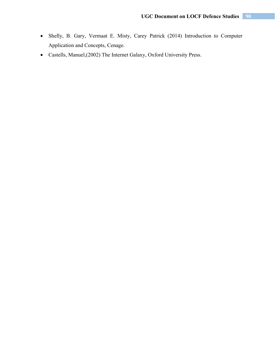- Shelly, B. Gary, Vermaat E. Misty, Carey Patrick (2014) Introduction to Computer Application and Concepts, Cenage.
- Castells, Manuel,(2002) The Internet Galaxy, Oxford University Press.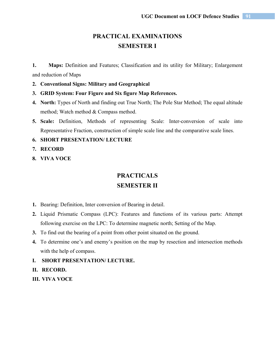# **PRACTICAL EXAMINATIONS SEMESTER I**

**1. Maps:** Definition and Features; Classification and its utility for Military; Enlargement and reduction of Maps

- **2. Conventional Signs: Military and Geographical**
- **3. GRID System: Four Figure and Six figure Map References.**
- **4. North:** Types of North and finding out True North; The Pole Star Method; The equal altitude method; Watch method & Compass method.
- **5. Scale:** Definition, Methods of representing Scale: Inter-conversion of scale into Representative Fraction, construction of simple scale line and the comparative scale lines.
- **6. SHORT PRESENTATION/ LECTURE**
- **7. RECORD**
- **8. VIVA VOCE**

# **PRACTICALS SEMESTER II**

- **1.** Bearing: Definition, Inter conversion of Bearing in detail.
- **2.** Liquid Prismatic Compass (LPC): Features and functions of its various parts: Attempt following exercise on the LPC: To determine magnetic north; Setting of the Map.
- **3.** To find out the bearing of a point from other point situated on the ground.
- **4.** To determine one's and enemy's position on the map by resection and intersection methods with the help of compass.
- **I. SHORT PRESENTATION/ LECTURE.**
- **II. RECORD.**
- **III. VIVA VOCE**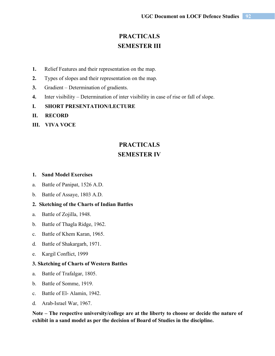# **PRACTICALS SEMESTER III**

- **1.** Relief Features and their representation on the map.
- **2.** Types of slopes and their representation on the map.
- **3.** Gradient Determination of gradients.
- **4.** Inter visibility Determination of inter visibility in case of rise or fall of slope.
- **I. SHORT PRESENTATION/LECTURE**
- **II. RECORD**
- **III. VIVA VOCE**

# **PRACTICALS SEMESTER IV**

#### **1. Sand Model Exercises**

- a. Battle of Panipat, 1526 A.D.
- b. Battle of Assaye, 1803 A.D.

### **2. Sketching of the Charts of Indian Battles**

- a. Battle of Zojilla, 1948.
- b. Battle of Thagla Ridge, 1962.
- c. Battle of Khem Karan, 1965.
- d. Battle of Shakargarh, 1971.
- e. Kargil Conflict, 1999

#### **3. Sketching of Charts of Western Battles**

- a. Battle of Trafalgar, 1805.
- b. Battle of Somme, 1919.
- c. Battle of El- Alamin, 1942.
- d. Arab-Israel War, 1967.

**Note – The respective university/college are at the liberty to choose or decide the nature of exhibit in a sand model as per the decision of Board of Studies in the discipline.**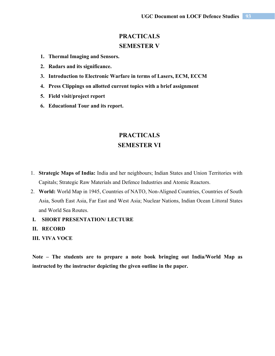# **PRACTICALS SEMESTER V**

- **1. Thermal Imaging and Sensors.**
- **2. Radars and its significance.**
- **3. Introduction to Electronic Warfare in terms of Lasers, ECM, ECCM**
- **4. Press Clippings on allotted current topics with a brief assignment**
- **5. Field visit/project report**
- **6. Educational Tour and its report.**

## **PRACTICALS SEMESTER VI**

- 1. **Strategic Maps of India:** India and her neighbours; Indian States and Union Territories with Capitals; Strategic Raw Materials and Defence Industries and Atomic Reactors.
- 2. **World:** World Map in 1945, Countries of NATO, Non-Aligned Countries, Countries of South Asia, South East Asia, Far East and West Asia; Nuclear Nations, Indian Ocean Littoral States and World Sea Routes.
- **I. SHORT PRESENTATION/ LECTURE**
- **II. RECORD**
- **III. VIVA VOCE**

**Note – The students are to prepare a note book bringing out India/World Map as instructed by the instructor depicting the given outline in the paper.**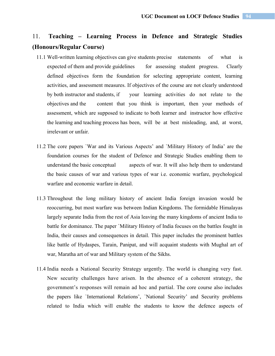# 11. **Teaching – Learning Process in Defence and Strategic Studies (Honours/Regular Course)**

- 11.1 Well-written learning objectives can give students precise statements of what is expected of them and provide guidelines for assessing student progress. Clearly defined objectives form the foundation for selecting appropriate content, learning activities, and assessment measures. If objectives of the course are not clearly understood by both instructor and students, if your learning activities do not relate to the objectives and the content that you think is important, then your methods of assessment, which are supposed to indicate to both learner and instructor how effective the learning and teaching process has been, will be at best misleading, and, at worst, irrelevant or unfair.
- 11.2 The core papers `War and its Various Aspects' and `Military History of India' are the foundation courses for the student of Defence and Strategic Studies enabling them to understand the basic conceptual aspects of war. It will also help them to understand the basic causes of war and various types of war i.e. economic warfare, psychological warfare and economic warfare in detail.
- 11.3 Throughout the long military history of ancient India foreign invasion would be reoccurring, but most warfare was between Indian Kingdoms. The formidable Himalayas largely separate India from the rest of Asia leaving the many kingdoms of ancient India to battle for dominance. The paper `Military History of India focuses on the battles fought in India, their causes and consequences in detail. This paper includes the prominent battles like battle of Hydaspes, Tarain, Panipat, and will acquaint students with Mughal art of war, Maratha art of war and Military system of the Sikhs.
- 11.4 India needs a National Security Strategy urgently. The world is changing very fast. New security challenges have arisen. In the absence of a coherent strategy, the government's responses will remain ad hoc and partial. The core course also includes the papers like `International Relations', `National Security' and Security problems related to India which will enable the students to know the defence aspects of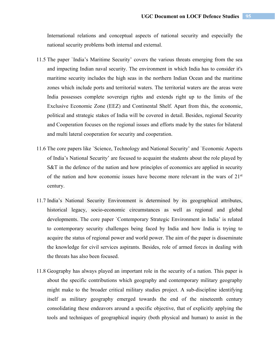International relations and conceptual aspects of national security and especially the national security problems both internal and external.

- 11.5 The paper `India's Maritime Security' covers the various threats emerging from the sea and impacting Indian naval security. The environment in which India has to consider it's maritime security includes the high seas in the northern Indian Ocean and the maritime zones which include ports and territorial waters. The territorial waters are the areas were India possesses complete sovereign rights and extends right up to the limits of the Exclusive Economic Zone (EEZ) and Continental Shelf. Apart from this, the economic, political and strategic stakes of India will be covered in detail. Besides, regional Security and Cooperation focuses on the regional issues and efforts made by the states for bilateral and multi lateral cooperation for security and cooperation.
- 11.6 The core papers like `Science, Technology and National Security' and `Economic Aspects of India's National Security' are focused to acquaint the students about the role played by S&T in the defence of the nation and how principles of economics are applied in security of the nation and how economic issues have become more relevant in the wars of  $21<sup>st</sup>$ century.
- 11.7 India's National Security Environment is determined by its geographical attributes, historical legacy, socio-economic circumstances as well as regional and global developments. The core paper `Contemporary Strategic Environment in India' is related to contemporary security challenges being faced by India and how India is trying to acquire the status of regional power and world power. The aim of the paper is disseminate the knowledge for civil services aspirants. Besides, role of armed forces in dealing with the threats has also been focused.
- 11.8 Geography has always played an important role in the security of a nation. This paper is about the specific contributions which geography and contemporary military geography might make to the broader critical military studies project. A sub-discipline identifying itself as military geography emerged towards the end of the nineteenth century consolidating these endeavors around a specific objective, that of explicitly applying the tools and techniques of geographical inquiry (both physical and human) to assist in the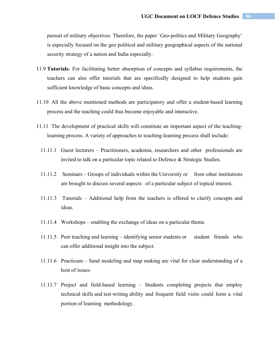pursuit of military objectives. Therefore, the paper `Geo-politics and Military Geography' is especially focused on the geo political and military geographical aspects of the national security strategy of a nation and India especially.

- 11.9 **Tutorials** For facilitating better absorption of concepts and syllabus requirements, the teachers can also offer tutorials that are specifically designed to help students gain sufficient knowledge of basic concepts and ideas.
- 11.10 All the above mentioned methods are participatory and offer a student-based learning process and the teaching could thus become enjoyable and interactive.
- 11.11 The development of practical skills will constitute an important aspect of the teachinglearning process. A variety of approaches to teaching-learning process shall include:
	- 11.11.1 Guest lecturers Practitioners, academia, researchers and other professionals are invited to talk on a particular topic related to Defence & Strategic Studies.
	- 11.11.2 Seminars Groups of individuals within the University or from other institutions are brought to discuss several aspects of a particular subject of topical interest.
	- 11.11.3 Tutorials Additional help from the teachers is offered to clarify concepts and ideas.
	- 11.11.4 Workshops enabling the exchange of ideas on a particular theme.
	- 11.11.5 Peer teaching and learning identifying senior students or student friends who can offer additional insight into the subject.
	- 11.11.6 Practicum Sand modeling and map making are vital for clear understanding of a host of issues
	- 11.11.7 Project and field-based learning Students completing projects that employ technical skills and test writing ability and frequent field visits could form a vital portion of learning methodology.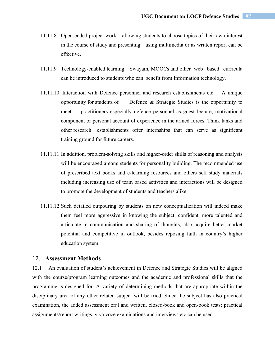- 11.11.8 Open-ended project work allowing students to choose topics of their own interest in the course of study and presenting using multimedia or as written report can be effective.
- 11.11.9 Technology-enabled learning Swayam, MOOCs and other web based curricula can be introduced to students who can benefit from Information technology.
- 11.11.10 Interaction with Defence personnel and research establishments etc. A unique opportunity for students of Defence & Strategic Studies is the opportunity to meet practitioners especially defence personnel as guest lecture, motivational component or personal account of experience in the armed forces. Think tanks and other research establishments offer internships that can serve as significant training ground for future careers.
- 11.11.11 In addition, problem-solving skills and higher-order skills of reasoning and analysis will be encouraged among students for personality building. The recommended use of prescribed text books and e-learning resources and others self study materials including increasing use of team based activities and interactions will be designed to promote the development of students and teachers alike.
- 11.11.12 Such detailed outpouring by students on new conceptualization will indeed make them feel more aggressive in knowing the subject; confident, more talented and articulate in communication and sharing of thoughts, also acquire better market potential and competitive in outlook, besides reposing faith in country's higher education system.

### 12. **Assessment Methods**

12.1 An evaluation of student's achievement in Defence and Strategic Studies will be aligned with the course/program learning outcomes and the academic and professional skills that the programme is designed for. A variety of determining methods that are appropriate within the disciplinary area of any other related subject will be tried. Since the subject has also practical examination, the added assessment oral and written, closed-book and open-book tests; practical assignments/report writings, viva voce examinations and interviews etc can be used.